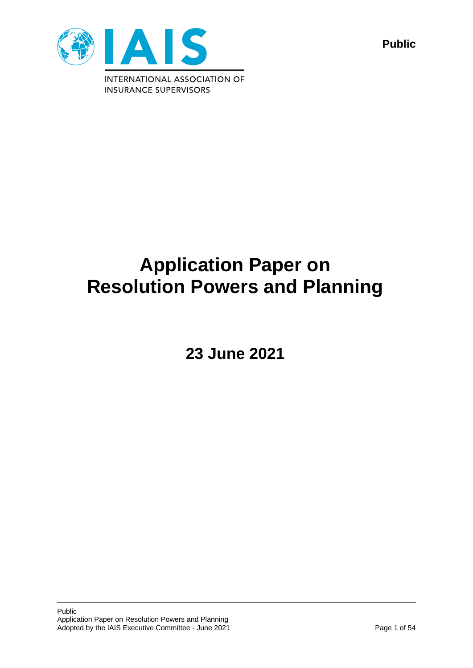

**Public**

# **Application Paper on Resolution Powers and Planning**

**23 June 2021**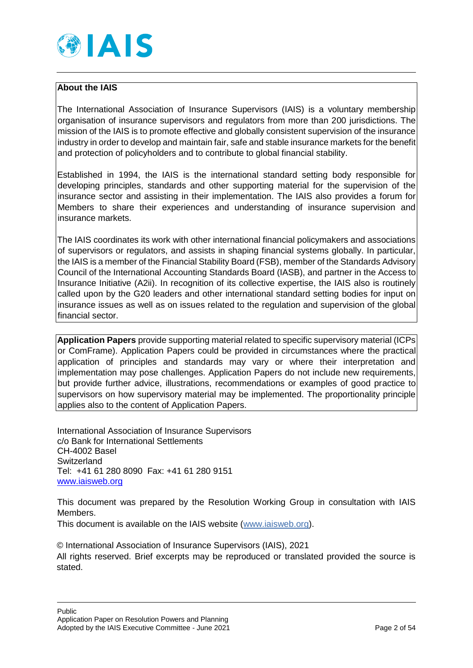

### **About the IAIS**

The International Association of Insurance Supervisors (IAIS) is a voluntary membership organisation of insurance supervisors and regulators from more than 200 jurisdictions. The mission of the IAIS is to promote effective and globally consistent supervision of the insurance industry in order to develop and maintain fair, safe and stable insurance markets for the benefit and protection of policyholders and to contribute to global financial stability.

Established in 1994, the IAIS is the international standard setting body responsible for developing principles, standards and other supporting material for the supervision of the insurance sector and assisting in their implementation. The IAIS also provides a forum for Members to share their experiences and understanding of insurance supervision and insurance markets.

The IAIS coordinates its work with other international financial policymakers and associations of supervisors or regulators, and assists in shaping financial systems globally. In particular, the IAIS is a member of the Financial Stability Board (FSB), member of the Standards Advisory Council of the International Accounting Standards Board (IASB), and partner in the Access to Insurance Initiative (A2ii). In recognition of its collective expertise, the IAIS also is routinely called upon by the G20 leaders and other international standard setting bodies for input on insurance issues as well as on issues related to the regulation and supervision of the global financial sector.

**Application Papers** provide supporting material related to specific supervisory material (ICPs or ComFrame). Application Papers could be provided in circumstances where the practical application of principles and standards may vary or where their interpretation and implementation may pose challenges. Application Papers do not include new requirements, but provide further advice, illustrations, recommendations or examples of good practice to supervisors on how supervisory material may be implemented. The proportionality principle applies also to the content of Application Papers.

International Association of Insurance Supervisors c/o Bank for International Settlements CH-4002 Basel **Switzerland** Tel: +41 61 280 8090 Fax: +41 61 280 9151 [www.iaisweb.org](http://www.iaisweb.org/)

This document was prepared by the Resolution Working Group in consultation with IAIS Members.

This document is available on the IAIS website [\(www.iaisweb.org\)](http://www.iaisweb.org/).

© International Association of Insurance Supervisors (IAIS), 2021 All rights reserved. Brief excerpts may be reproduced or translated provided the source is stated.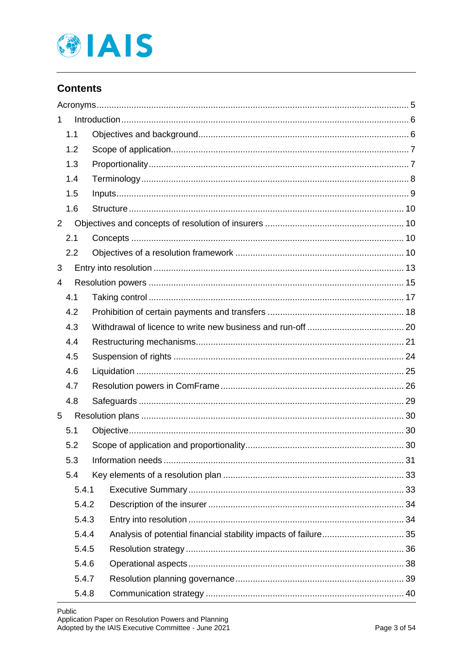

# **Contents**

| 1              |       |  |  |  |
|----------------|-------|--|--|--|
|                | 1.1   |  |  |  |
|                | 1.2   |  |  |  |
|                | 1.3   |  |  |  |
|                | 1.4   |  |  |  |
|                | 1.5   |  |  |  |
|                | 1.6   |  |  |  |
| $\overline{2}$ |       |  |  |  |
|                | 2.1   |  |  |  |
|                | 2.2   |  |  |  |
| 3              |       |  |  |  |
| 4              |       |  |  |  |
|                | 4.1   |  |  |  |
|                | 4.2   |  |  |  |
|                | 4.3   |  |  |  |
|                | 4.4   |  |  |  |
|                | 4.5   |  |  |  |
|                | 4.6   |  |  |  |
|                | 4.7   |  |  |  |
|                | 4.8   |  |  |  |
| 5              |       |  |  |  |
|                | 5.1   |  |  |  |
|                | 5.2   |  |  |  |
|                | 5.3   |  |  |  |
|                | 5.4   |  |  |  |
|                | 5.4.1 |  |  |  |
|                | 5.4.2 |  |  |  |
|                | 5.4.3 |  |  |  |
|                | 5.4.4 |  |  |  |
|                | 5.4.5 |  |  |  |
|                | 5.4.6 |  |  |  |
|                | 5.4.7 |  |  |  |
|                | 5.4.8 |  |  |  |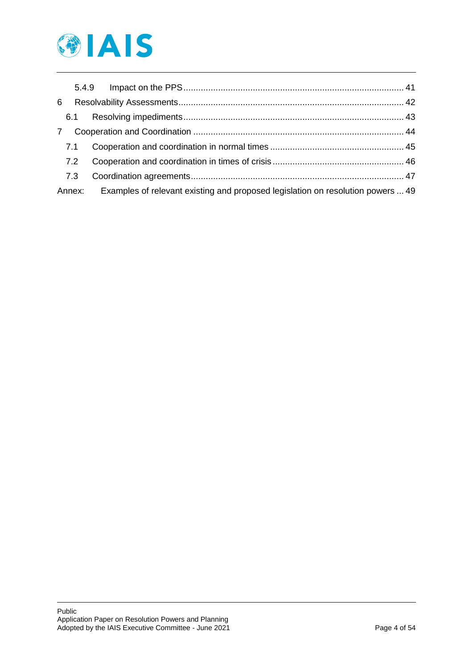

| 6 |        |                                                                                 |  |
|---|--------|---------------------------------------------------------------------------------|--|
|   |        |                                                                                 |  |
| 7 |        |                                                                                 |  |
|   | 7.1    |                                                                                 |  |
|   | 7.2    |                                                                                 |  |
|   | 7.3    |                                                                                 |  |
|   | Annex: | Examples of relevant existing and proposed legislation on resolution powers  49 |  |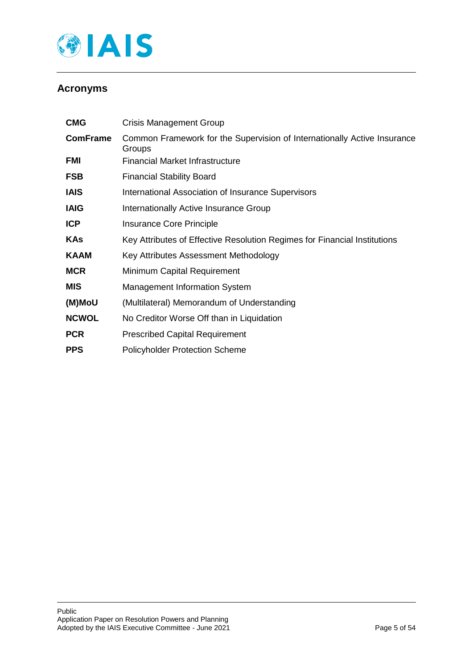

# <span id="page-4-0"></span>**Acronyms**

| <b>CMG</b>      | <b>Crisis Management Group</b>                                                     |
|-----------------|------------------------------------------------------------------------------------|
| <b>ComFrame</b> | Common Framework for the Supervision of Internationally Active Insurance<br>Groups |
| FMI             | Financial Market Infrastructure                                                    |
| <b>FSB</b>      | <b>Financial Stability Board</b>                                                   |
| <b>IAIS</b>     | International Association of Insurance Supervisors                                 |
| <b>IAIG</b>     | Internationally Active Insurance Group                                             |
| <b>ICP</b>      | Insurance Core Principle                                                           |
| <b>KAs</b>      | Key Attributes of Effective Resolution Regimes for Financial Institutions          |
| <b>KAAM</b>     | Key Attributes Assessment Methodology                                              |
| <b>MCR</b>      | Minimum Capital Requirement                                                        |
| <b>MIS</b>      | <b>Management Information System</b>                                               |
| (M)MoU          | (Multilateral) Memorandum of Understanding                                         |
| <b>NCWOL</b>    | No Creditor Worse Off than in Liquidation                                          |
| <b>PCR</b>      | <b>Prescribed Capital Requirement</b>                                              |
| <b>PPS</b>      | <b>Policyholder Protection Scheme</b>                                              |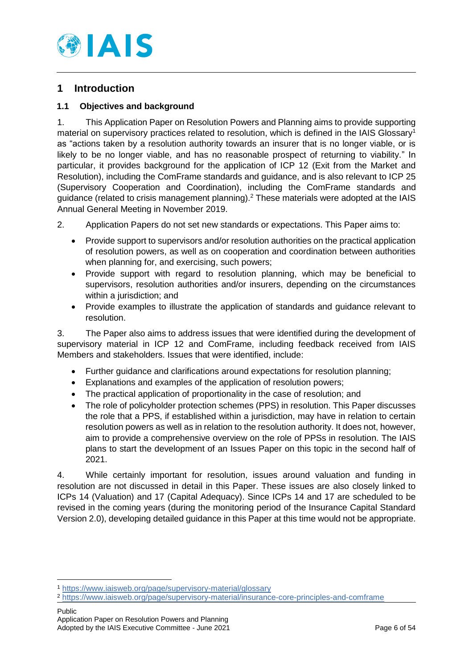

# <span id="page-5-0"></span>**1 Introduction**

### <span id="page-5-1"></span>**1.1 Objectives and background**

1. This Application Paper on Resolution Powers and Planning aims to provide supporting material on supervisory practices related to resolution, which is defined in the IAIS Glossary<sup>1</sup> as "actions taken by a resolution authority towards an insurer that is no longer viable, or is likely to be no longer viable, and has no reasonable prospect of returning to viability." In particular, it provides background for the application of ICP 12 (Exit from the Market and Resolution), including the ComFrame standards and guidance, and is also relevant to ICP 25 (Supervisory Cooperation and Coordination), including the ComFrame standards and guidance (related to crisis management planning).<sup>2</sup> These materials were adopted at the IAIS Annual General Meeting in November 2019.

2. Application Papers do not set new standards or expectations. This Paper aims to:

- Provide support to supervisors and/or resolution authorities on the practical application of resolution powers, as well as on cooperation and coordination between authorities when planning for, and exercising, such powers;
- Provide support with regard to resolution planning, which may be beneficial to supervisors, resolution authorities and/or insurers, depending on the circumstances within a jurisdiction; and
- Provide examples to illustrate the application of standards and guidance relevant to resolution.

3. The Paper also aims to address issues that were identified during the development of supervisory material in ICP 12 and ComFrame, including feedback received from IAIS Members and stakeholders. Issues that were identified, include:

- Further guidance and clarifications around expectations for resolution planning;
- Explanations and examples of the application of resolution powers;
- The practical application of proportionality in the case of resolution; and
- The role of policyholder protection schemes (PPS) in resolution. This Paper discusses the role that a PPS, if established within a jurisdiction, may have in relation to certain resolution powers as well as in relation to the resolution authority. It does not, however, aim to provide a comprehensive overview on the role of PPSs in resolution. The IAIS plans to start the development of an Issues Paper on this topic in the second half of 2021.

4. While certainly important for resolution, issues around valuation and funding in resolution are not discussed in detail in this Paper. These issues are also closely linked to ICPs 14 (Valuation) and 17 (Capital Adequacy). Since ICPs 14 and 17 are scheduled to be revised in the coming years (during the monitoring period of the Insurance Capital Standard Version 2.0), developing detailed guidance in this Paper at this time would not be appropriate.

<sup>1</sup> <https://www.iaisweb.org/page/supervisory-material/glossary>

<sup>2</sup> <https://www.iaisweb.org/page/supervisory-material/insurance-core-principles-and-comframe>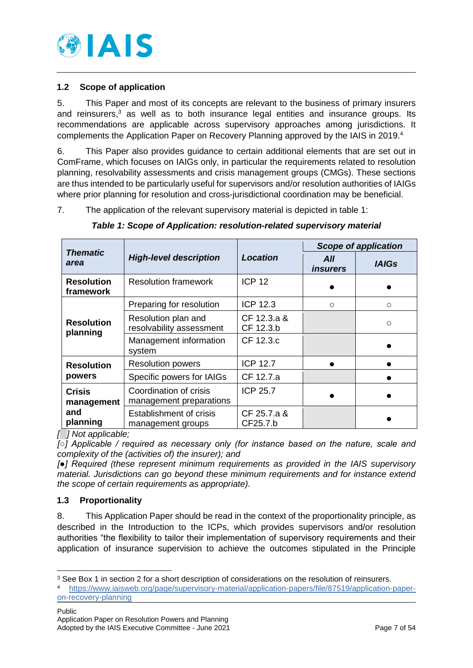

### <span id="page-6-0"></span>**1.2 Scope of application**

5. This Paper and most of its concepts are relevant to the business of primary insurers and reinsurers, <sup>3</sup> as well as to both insurance legal entities and insurance groups. Its recommendations are applicable across supervisory approaches among jurisdictions. It complements the Application Paper on Recovery Planning approved by the IAIS in 2019.<sup>4</sup>

6. This Paper also provides guidance to certain additional elements that are set out in ComFrame, which focuses on IAIGs only, in particular the requirements related to resolution planning, resolvability assessments and crisis management groups (CMGs). These sections are thus intended to be particularly useful for supervisors and/or resolution authorities of IAIGs where prior planning for resolution and cross-jurisdictional coordination may be beneficial.

7. The application of the relevant supervisory material is depicted in table 1:

|                                | <b>High-level description</b>                     |                          | <b>Scope of application</b> |              |
|--------------------------------|---------------------------------------------------|--------------------------|-----------------------------|--------------|
| <b>Thematic</b><br>area        |                                                   | Location                 | All<br><i>insurers</i>      | <b>IAIGs</b> |
| <b>Resolution</b><br>framework | <b>Resolution framework</b>                       | <b>ICP 12</b>            |                             |              |
|                                | Preparing for resolution                          | <b>ICP 12.3</b>          | $\circ$                     | $\circ$      |
| <b>Resolution</b><br>planning  | Resolution plan and<br>resolvability assessment   | CF 12.3.a &<br>CF 12.3.b |                             | $\circ$      |
|                                | Management information<br>system                  | CF 12.3.c                |                             |              |
| <b>Resolution</b>              | <b>Resolution powers</b>                          | <b>ICP 12.7</b>          |                             |              |
| powers                         | Specific powers for IAIGs                         | CF 12.7.a                |                             |              |
| <b>Crisis</b><br>management    | Coordination of crisis<br>management preparations | ICP 25.7                 |                             |              |
| and<br>planning                | Establishment of crisis<br>management groups      | CF 25.7.a &<br>CF25.7.b  |                             |              |

*Table 1: Scope of Application: resolution-related supervisory material*

*[. .] Not applicable;* 

*[○] Applicable / required as necessary only (for instance based on the nature, scale and complexity of the (activities of) the insurer); and*

*[●] Required (these represent minimum requirements as provided in the IAIS supervisory material. Jurisdictions can go beyond these minimum requirements and for instance extend the scope of certain requirements as appropriate).*

## <span id="page-6-1"></span>**1.3 Proportionality**

8. This Application Paper should be read in the context of the proportionality principle, as described in the Introduction to the ICPs, which provides supervisors and/or resolution authorities "the flexibility to tailor their implementation of supervisory requirements and their application of insurance supervision to achieve the outcomes stipulated in the Principle

<sup>-</sup><sup>3</sup> See [Box 1](#page-11-0) in section 2 for a short description of considerations on the resolution of reinsurers.

<sup>4</sup> [https://www.iaisweb.org/page/supervisory-material/application-papers/file/87519/application-paper](https://www.iaisweb.org/page/supervisory-material/application-papers/file/87519/application-paper-on-recovery-planning)[on-recovery-planning](https://www.iaisweb.org/page/supervisory-material/application-papers/file/87519/application-paper-on-recovery-planning)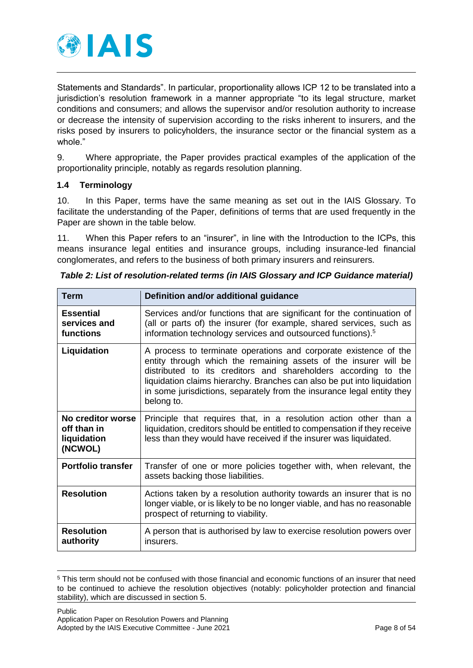

Statements and Standards". In particular, proportionality allows ICP 12 to be translated into a jurisdiction's resolution framework in a manner appropriate "to its legal structure, market conditions and consumers; and allows the supervisor and/or resolution authority to increase or decrease the intensity of supervision according to the risks inherent to insurers, and the risks posed by insurers to policyholders, the insurance sector or the financial system as a whole."

9. Where appropriate, the Paper provides practical examples of the application of the proportionality principle, notably as regards resolution planning.

### <span id="page-7-0"></span>**1.4 Terminology**

10. In this Paper, terms have the same meaning as set out in the IAIS Glossary. To facilitate the understanding of the Paper, definitions of terms that are used frequently in the Paper are shown in the table below.

11. When this Paper refers to an "insurer", in line with the Introduction to the ICPs, this means insurance legal entities and insurance groups, including insurance-led financial conglomerates, and refers to the business of both primary insurers and reinsurers.

| Term                                                       | Definition and/or additional guidance                                                                                                                                                                                                                                                                                                                                     |  |  |  |
|------------------------------------------------------------|---------------------------------------------------------------------------------------------------------------------------------------------------------------------------------------------------------------------------------------------------------------------------------------------------------------------------------------------------------------------------|--|--|--|
| <b>Essential</b><br>services and<br>functions              | Services and/or functions that are significant for the continuation of<br>(all or parts of) the insurer (for example, shared services, such as<br>information technology services and outsourced functions). <sup>5</sup>                                                                                                                                                 |  |  |  |
| Liquidation                                                | A process to terminate operations and corporate existence of the<br>entity through which the remaining assets of the insurer will be<br>distributed to its creditors and shareholders according to the<br>liquidation claims hierarchy. Branches can also be put into liquidation<br>in some jurisdictions, separately from the insurance legal entity they<br>belong to. |  |  |  |
| No creditor worse<br>off than in<br>liquidation<br>(NCWOL) | Principle that requires that, in a resolution action other than a<br>liquidation, creditors should be entitled to compensation if they receive<br>less than they would have received if the insurer was liquidated.                                                                                                                                                       |  |  |  |
| <b>Portfolio transfer</b>                                  | Transfer of one or more policies together with, when relevant, the<br>assets backing those liabilities.                                                                                                                                                                                                                                                                   |  |  |  |
| <b>Resolution</b>                                          | Actions taken by a resolution authority towards an insurer that is no<br>longer viable, or is likely to be no longer viable, and has no reasonable<br>prospect of returning to viability.                                                                                                                                                                                 |  |  |  |
| <b>Resolution</b><br>authority                             | A person that is authorised by law to exercise resolution powers over<br>insurers.                                                                                                                                                                                                                                                                                        |  |  |  |

<sup>5</sup> This term should not be confused with those financial and economic functions of an insurer that need to be continued to achieve the resolution objectives (notably: policyholder protection and financial stability), which are discussed in section 5.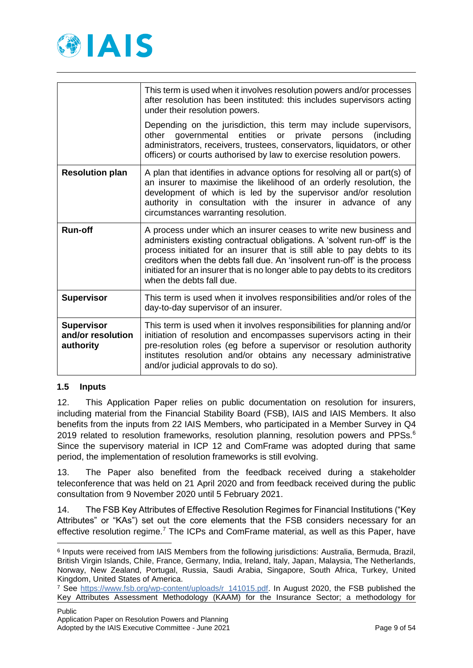

|                                                     | This term is used when it involves resolution powers and/or processes<br>after resolution has been instituted: this includes supervisors acting<br>under their resolution powers.                                                                                                                                                                                                                                 |  |  |  |  |
|-----------------------------------------------------|-------------------------------------------------------------------------------------------------------------------------------------------------------------------------------------------------------------------------------------------------------------------------------------------------------------------------------------------------------------------------------------------------------------------|--|--|--|--|
|                                                     | Depending on the jurisdiction, this term may include supervisors,<br>entities<br>governmental<br>private<br>other<br>or<br>persons<br>(including<br>administrators, receivers, trustees, conservators, liquidators, or other<br>officers) or courts authorised by law to exercise resolution powers.                                                                                                              |  |  |  |  |
| <b>Resolution plan</b>                              | A plan that identifies in advance options for resolving all or part(s) of<br>an insurer to maximise the likelihood of an orderly resolution, the<br>development of which is led by the supervisor and/or resolution<br>authority in consultation with the insurer in advance of any<br>circumstances warranting resolution.                                                                                       |  |  |  |  |
| <b>Run-off</b>                                      | A process under which an insurer ceases to write new business and<br>administers existing contractual obligations. A 'solvent run-off' is the<br>process initiated for an insurer that is still able to pay debts to its<br>creditors when the debts fall due. An 'insolvent run-off' is the process<br>initiated for an insurer that is no longer able to pay debts to its creditors<br>when the debts fall due. |  |  |  |  |
| <b>Supervisor</b>                                   | This term is used when it involves responsibilities and/or roles of the<br>day-to-day supervisor of an insurer.                                                                                                                                                                                                                                                                                                   |  |  |  |  |
| <b>Supervisor</b><br>and/or resolution<br>authority | This term is used when it involves responsibilities for planning and/or<br>initiation of resolution and encompasses supervisors acting in their<br>pre-resolution roles (eg before a supervisor or resolution authority<br>institutes resolution and/or obtains any necessary administrative<br>and/or judicial approvals to do so).                                                                              |  |  |  |  |

### <span id="page-8-0"></span>**1.5 Inputs**

-

12. This Application Paper relies on public documentation on resolution for insurers, including material from the Financial Stability Board (FSB), IAIS and IAIS Members. It also benefits from the inputs from 22 IAIS Members, who participated in a Member Survey in Q4 2019 related to resolution frameworks, resolution planning, resolution powers and PPSs.<sup>6</sup> Since the supervisory material in ICP 12 and ComFrame was adopted during that same period, the implementation of resolution frameworks is still evolving.

13. The Paper also benefited from the feedback received during a stakeholder teleconference that was held on 21 April 2020 and from feedback received during the public consultation from 9 November 2020 until 5 February 2021.

14. The FSB Key Attributes of Effective Resolution Regimes for Financial Institutions ("Key Attributes" or "KAs") set out the core elements that the FSB considers necessary for an effective resolution regime.<sup>7</sup> The ICPs and ComFrame material, as well as this Paper, have

<sup>6</sup> Inputs were received from IAIS Members from the following jurisdictions: Australia, Bermuda, Brazil, British Virgin Islands, Chile, France, Germany, India, Ireland, Italy, Japan, Malaysia, The Netherlands, Norway, New Zealand, Portugal, Russia, Saudi Arabia, Singapore, South Africa, Turkey, United Kingdom, United States of America.

<sup>&</sup>lt;sup>7</sup> See https://www.fsb.org/wp-content/uploads/r 141015.pdf. In August 2020, the FSB published the Key Attributes Assessment Methodology (KAAM) for the Insurance Sector; a methodology for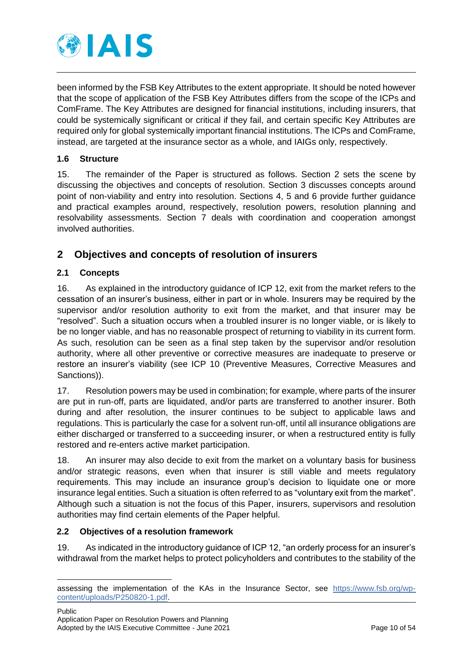

been informed by the FSB Key Attributes to the extent appropriate. It should be noted however that the scope of application of the FSB Key Attributes differs from the scope of the ICPs and ComFrame. The Key Attributes are designed for financial institutions, including insurers, that could be systemically significant or critical if they fail, and certain specific Key Attributes are required only for global systemically important financial institutions. The ICPs and ComFrame, instead, are targeted at the insurance sector as a whole, and IAIGs only, respectively.

### <span id="page-9-0"></span>**1.6 Structure**

15. The remainder of the Paper is structured as follows. Section 2 sets the scene by discussing the objectives and concepts of resolution. Section 3 discusses concepts around point of non-viability and entry into resolution. Sections 4, 5 and 6 provide further guidance and practical examples around, respectively, resolution powers, resolution planning and resolvability assessments. Section 7 deals with coordination and cooperation amongst involved authorities.

# <span id="page-9-1"></span>**2 Objectives and concepts of resolution of insurers**

### <span id="page-9-2"></span>**2.1 Concepts**

-

16. As explained in the introductory guidance of ICP 12, exit from the market refers to the cessation of an insurer's business, either in part or in whole. Insurers may be required by the supervisor and/or resolution authority to exit from the market, and that insurer may be "resolved". Such a situation occurs when a troubled insurer is no longer viable, or is likely to be no longer viable, and has no reasonable prospect of returning to viability in its current form. As such, resolution can be seen as a final step taken by the supervisor and/or resolution authority, where all other preventive or corrective measures are inadequate to preserve or restore an insurer's viability (see ICP 10 (Preventive Measures, Corrective Measures and Sanctions)).

17. Resolution powers may be used in combination; for example, where parts of the insurer are put in run-off, parts are liquidated, and/or parts are transferred to another insurer. Both during and after resolution, the insurer continues to be subject to applicable laws and regulations. This is particularly the case for a solvent run-off, until all insurance obligations are either discharged or transferred to a succeeding insurer, or when a restructured entity is fully restored and re-enters active market participation.

18. An insurer may also decide to exit from the market on a voluntary basis for business and/or strategic reasons, even when that insurer is still viable and meets regulatory requirements. This may include an insurance group's decision to liquidate one or more insurance legal entities. Such a situation is often referred to as "voluntary exit from the market". Although such a situation is not the focus of this Paper, insurers, supervisors and resolution authorities may find certain elements of the Paper helpful.

### <span id="page-9-3"></span>**2.2 Objectives of a resolution framework**

19. As indicated in the introductory guidance of ICP 12, "an orderly process for an insurer's withdrawal from the market helps to protect policyholders and contributes to the stability of the

assessing the implementation of the KAs in the Insurance Sector, see [https://www.fsb.org/wp](https://www.fsb.org/wp-content/uploads/P250820-1.pdf)[content/uploads/P250820-1.pdf.](https://www.fsb.org/wp-content/uploads/P250820-1.pdf)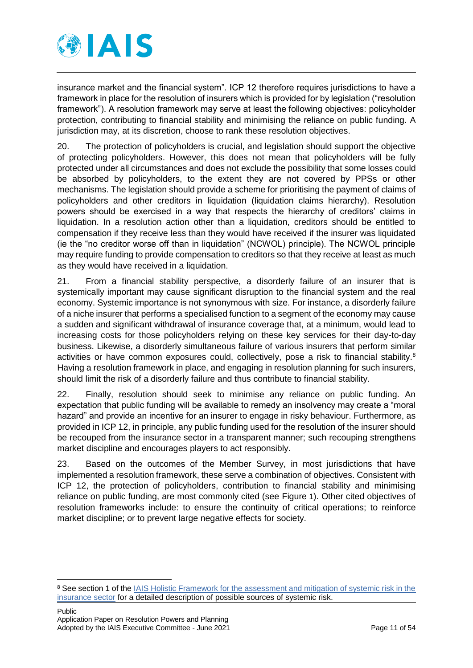

insurance market and the financial system". ICP 12 therefore requires jurisdictions to have a framework in place for the resolution of insurers which is provided for by legislation ("resolution framework"). A resolution framework may serve at least the following objectives: policyholder protection, contributing to financial stability and minimising the reliance on public funding. A jurisdiction may, at its discretion, choose to rank these resolution objectives.

20. The protection of policyholders is crucial, and legislation should support the objective of protecting policyholders. However, this does not mean that policyholders will be fully protected under all circumstances and does not exclude the possibility that some losses could be absorbed by policyholders, to the extent they are not covered by PPSs or other mechanisms. The legislation should provide a scheme for prioritising the payment of claims of policyholders and other creditors in liquidation (liquidation claims hierarchy). Resolution powers should be exercised in a way that respects the hierarchy of creditors' claims in liquidation. In a resolution action other than a liquidation, creditors should be entitled to compensation if they receive less than they would have received if the insurer was liquidated (ie the "no creditor worse off than in liquidation" (NCWOL) principle). The NCWOL principle may require funding to provide compensation to creditors so that they receive at least as much as they would have received in a liquidation.

21. From a financial stability perspective, a disorderly failure of an insurer that is systemically important may cause significant disruption to the financial system and the real economy. Systemic importance is not synonymous with size. For instance, a disorderly failure of a niche insurer that performs a specialised function to a segment of the economy may cause a sudden and significant withdrawal of insurance coverage that, at a minimum, would lead to increasing costs for those policyholders relying on these key services for their day-to-day business. Likewise, a disorderly simultaneous failure of various insurers that perform similar activities or have common exposures could, collectively, pose a risk to financial stability.<sup>8</sup> Having a resolution framework in place, and engaging in resolution planning for such insurers, should limit the risk of a disorderly failure and thus contribute to financial stability.

22. Finally, resolution should seek to minimise any reliance on public funding. An expectation that public funding will be available to remedy an insolvency may create a "moral hazard" and provide an incentive for an insurer to engage in risky behaviour. Furthermore, as provided in ICP 12, in principle, any public funding used for the resolution of the insurer should be recouped from the insurance sector in a transparent manner; such recouping strengthens market discipline and encourages players to act responsibly.

23. Based on the outcomes of the Member Survey, in most jurisdictions that have implemented a resolution framework, these serve a combination of objectives. Consistent with ICP 12, the protection of policyholders, contribution to financial stability and minimising reliance on public funding, are most commonly cited (see [Figure](#page-11-1) 1). Other cited objectives of resolution frameworks include: to ensure the continuity of critical operations; to reinforce market discipline; or to prevent large negative effects for society.

<sup>&</sup>lt;sup>8</sup> See section 1 of the IAIS Holistic Framework for the assessment and mitigation of systemic risk in the [insurance sector](https://www.iaisweb.org/page/supervisory-material/financial-stability/file/87109/holistic-framework-for-systemic-risk) for a detailed description of possible sources of systemic risk.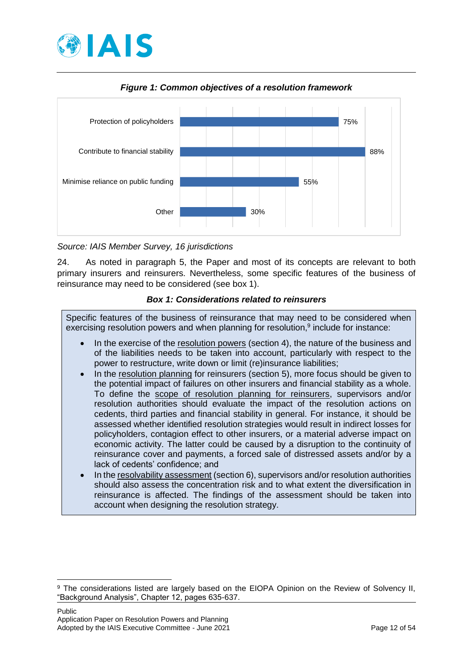

<span id="page-11-1"></span>

*Figure 1: Common objectives of a resolution framework*

*Source: IAIS Member Survey, 16 jurisdictions*

24. As noted in paragraph 5, the Paper and most of its concepts are relevant to both primary insurers and reinsurers. Nevertheless, some specific features of the business of reinsurance may need to be considered (see box 1).

### *Box 1: Considerations related to reinsurers*

<span id="page-11-0"></span>Specific features of the business of reinsurance that may need to be considered when exercising resolution powers and when planning for resolution,<sup>9</sup> include for instance:

- In the exercise of the resolution powers (section 4), the nature of the business and of the liabilities needs to be taken into account, particularly with respect to the power to restructure, write down or limit (re)insurance liabilities;
- In the resolution planning for reinsurers (section 5), more focus should be given to the potential impact of failures on other insurers and financial stability as a whole. To define the scope of resolution planning for reinsurers, supervisors and/or resolution authorities should evaluate the impact of the resolution actions on cedents, third parties and financial stability in general. For instance, it should be assessed whether identified resolution strategies would result in indirect losses for policyholders, contagion effect to other insurers, or a material adverse impact on economic activity. The latter could be caused by a disruption to the continuity of reinsurance cover and payments, a forced sale of distressed assets and/or by a lack of cedents' confidence; and
- In the resolvability assessment (section 6), supervisors and/or resolution authorities should also assess the concentration risk and to what extent the diversification in reinsurance is affected. The findings of the assessment should be taken into account when designing the resolution strategy.

<sup>&</sup>lt;sup>9</sup> The considerations listed are largely based on the EIOPA Opinion on the Review of Solvency II, "Background Analysis", Chapter 12, pages 635-637.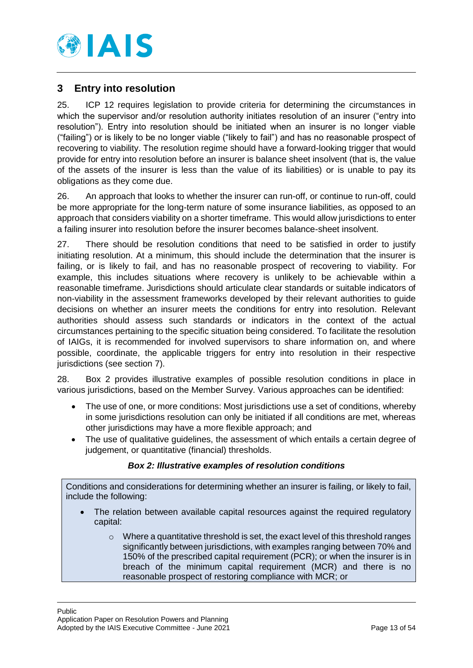

# <span id="page-12-0"></span>**3 Entry into resolution**

25. ICP 12 requires legislation to provide criteria for determining the circumstances in which the supervisor and/or resolution authority initiates resolution of an insurer ("entry into resolution"). Entry into resolution should be initiated when an insurer is no longer viable ("failing") or is likely to be no longer viable ("likely to fail") and has no reasonable prospect of recovering to viability. The resolution regime should have a forward-looking trigger that would provide for entry into resolution before an insurer is balance sheet insolvent (that is, the value of the assets of the insurer is less than the value of its liabilities) or is unable to pay its obligations as they come due.

26. An approach that looks to whether the insurer can run-off, or continue to run-off, could be more appropriate for the long-term nature of some insurance liabilities, as opposed to an approach that considers viability on a shorter timeframe. This would allow jurisdictions to enter a failing insurer into resolution before the insurer becomes balance-sheet insolvent.

27. There should be resolution conditions that need to be satisfied in order to justify initiating resolution. At a minimum, this should include the determination that the insurer is failing, or is likely to fail, and has no reasonable prospect of recovering to viability. For example, this includes situations where recovery is unlikely to be achievable within a reasonable timeframe. Jurisdictions should articulate clear standards or suitable indicators of non-viability in the assessment frameworks developed by their relevant authorities to guide decisions on whether an insurer meets the conditions for entry into resolution. Relevant authorities should assess such standards or indicators in the context of the actual circumstances pertaining to the specific situation being considered. To facilitate the resolution of IAIGs, it is recommended for involved supervisors to share information on, and where possible, coordinate, the applicable triggers for entry into resolution in their respective jurisdictions (see section 7).

28. [Box 2](#page-12-1) provides illustrative examples of possible resolution conditions in place in various jurisdictions, based on the Member Survey. Various approaches can be identified:

- The use of one, or more conditions: Most jurisdictions use a set of conditions, whereby in some jurisdictions resolution can only be initiated if all conditions are met, whereas other jurisdictions may have a more flexible approach; and
- The use of qualitative guidelines, the assessment of which entails a certain degree of judgement, or quantitative (financial) thresholds.

### *Box 2: Illustrative examples of resolution conditions*

<span id="page-12-1"></span>Conditions and considerations for determining whether an insurer is failing, or likely to fail, include the following:

- The relation between available capital resources against the required regulatory capital:
	- o Where a quantitative threshold is set, the exact level of this threshold ranges significantly between jurisdictions, with examples ranging between 70% and 150% of the prescribed capital requirement (PCR); or when the insurer is in breach of the minimum capital requirement (MCR) and there is no reasonable prospect of restoring compliance with MCR; or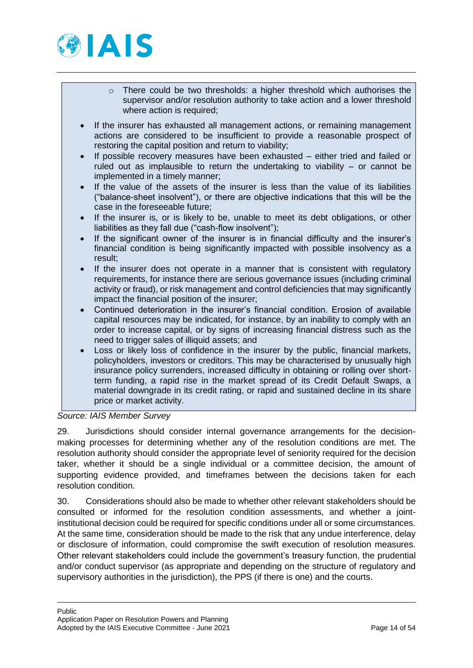

- o There could be two thresholds: a higher threshold which authorises the supervisor and/or resolution authority to take action and a lower threshold where action is required:
- If the insurer has exhausted all management actions, or remaining management actions are considered to be insufficient to provide a reasonable prospect of restoring the capital position and return to viability;
- If possible recovery measures have been exhausted either tried and failed or ruled out as implausible to return the undertaking to viability – or cannot be implemented in a timely manner;
- If the value of the assets of the insurer is less than the value of its liabilities ("balance-sheet insolvent"), or there are objective indications that this will be the case in the foreseeable future;
- If the insurer is, or is likely to be, unable to meet its debt obligations, or other liabilities as they fall due ("cash-flow insolvent");
- If the significant owner of the insurer is in financial difficulty and the insurer's financial condition is being significantly impacted with possible insolvency as a result;
- If the insurer does not operate in a manner that is consistent with regulatory requirements, for instance there are serious governance issues (including criminal activity or fraud), or risk management and control deficiencies that may significantly impact the financial position of the insurer;
- Continued deterioration in the insurer's financial condition. Erosion of available capital resources may be indicated, for instance, by an inability to comply with an order to increase capital, or by signs of increasing financial distress such as the need to trigger sales of illiquid assets; and
- Loss or likely loss of confidence in the insurer by the public, financial markets, policyholders, investors or creditors. This may be characterised by unusually high insurance policy surrenders, increased difficulty in obtaining or rolling over shortterm funding, a rapid rise in the market spread of its Credit Default Swaps, a material downgrade in its credit rating, or rapid and sustained decline in its share price or market activity.

# *Source: IAIS Member Survey*

29. Jurisdictions should consider internal governance arrangements for the decisionmaking processes for determining whether any of the resolution conditions are met. The resolution authority should consider the appropriate level of seniority required for the decision taker, whether it should be a single individual or a committee decision, the amount of supporting evidence provided, and timeframes between the decisions taken for each resolution condition.

30. Considerations should also be made to whether other relevant stakeholders should be consulted or informed for the resolution condition assessments, and whether a jointinstitutional decision could be required for specific conditions under all or some circumstances. At the same time, consideration should be made to the risk that any undue interference, delay or disclosure of information, could compromise the swift execution of resolution measures. Other relevant stakeholders could include the government's treasury function, the prudential and/or conduct supervisor (as appropriate and depending on the structure of regulatory and supervisory authorities in the jurisdiction), the PPS (if there is one) and the courts.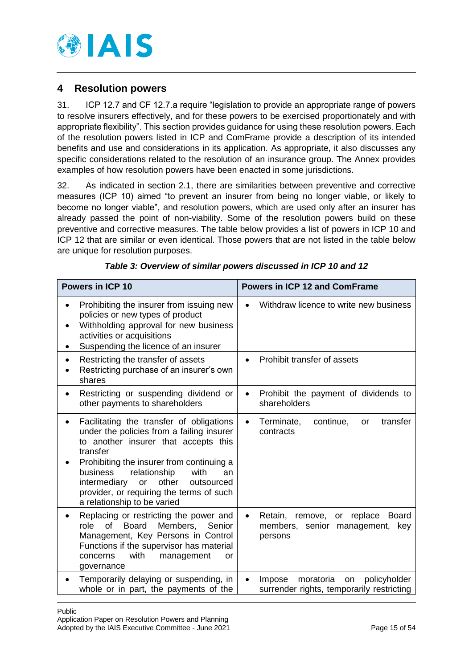

# <span id="page-14-0"></span>**4 Resolution powers**

31. ICP 12.7 and CF 12.7.a require "legislation to provide an appropriate range of powers to resolve insurers effectively, and for these powers to be exercised proportionately and with appropriate flexibility". This section provides guidance for using these resolution powers. Each of the resolution powers listed in ICP and ComFrame provide a description of its intended benefits and use and considerations in its application. As appropriate, it also discusses any specific considerations related to the resolution of an insurance group. The Annex provides examples of how resolution powers have been enacted in some jurisdictions.

32. As indicated in section 2.1, there are similarities between preventive and corrective measures (ICP 10) aimed "to prevent an insurer from being no longer viable, or likely to become no longer viable", and resolution powers, which are used only after an insurer has already passed the point of non-viability. Some of the resolution powers build on these preventive and corrective measures. The table below provides a list of powers in ICP 10 and ICP 12 that are similar or even identical. Those powers that are not listed in the table below are unique for resolution purposes.

| <b>Powers in ICP 10</b>                                                                                                                                                                                                                                                                                                                                               | <b>Powers in ICP 12 and ComFrame</b>                                                                                    |  |  |
|-----------------------------------------------------------------------------------------------------------------------------------------------------------------------------------------------------------------------------------------------------------------------------------------------------------------------------------------------------------------------|-------------------------------------------------------------------------------------------------------------------------|--|--|
| Prohibiting the insurer from issuing new<br>policies or new types of product<br>Withholding approval for new business<br>$\bullet$<br>activities or acquisitions<br>Suspending the licence of an insurer<br>٠                                                                                                                                                         | Withdraw licence to write new business<br>$\bullet$                                                                     |  |  |
| Restricting the transfer of assets<br>$\bullet$<br>Restricting purchase of an insurer's own<br>shares                                                                                                                                                                                                                                                                 | Prohibit transfer of assets<br>$\bullet$                                                                                |  |  |
| Restricting or suspending dividend or<br>$\bullet$<br>other payments to shareholders                                                                                                                                                                                                                                                                                  | Prohibit the payment of dividends to<br>$\bullet$<br>shareholders                                                       |  |  |
| Facilitating the transfer of obligations<br>$\bullet$<br>under the policies from a failing insurer<br>to another insurer that accepts this<br>transfer<br>Prohibiting the insurer from continuing a<br>business<br>relationship<br>with<br>an<br>other<br>intermediary<br>or<br>outsourced<br>provider, or requiring the terms of such<br>a relationship to be varied | transfer<br>Terminate,<br>continue,<br><b>or</b><br>$\bullet$<br>contracts                                              |  |  |
| Replacing or restricting the power and<br>of<br>role<br><b>Board</b><br>Members,<br>Senior<br>Management, Key Persons in Control<br>Functions if the supervisor has material<br>with<br>concerns<br>management<br>or<br>governance                                                                                                                                    | Retain,<br>replace<br><b>Board</b><br>remove,<br>or<br>$\bullet$<br>members,<br>senior<br>management,<br>key<br>persons |  |  |
| Temporarily delaying or suspending, in<br>whole or in part, the payments of the                                                                                                                                                                                                                                                                                       | moratoria<br>policyholder<br>Impose<br>on<br>$\bullet$<br>surrender rights, temporarily restricting                     |  |  |

*Table 3: Overview of similar powers discussed in ICP 10 and 12*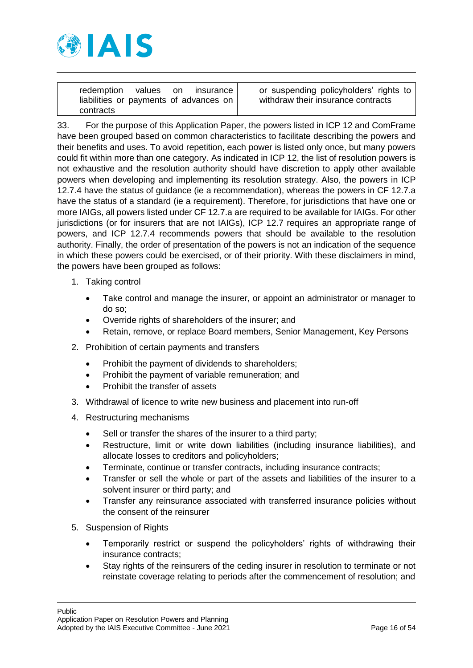

|           |  | redemption values on insurance         | or su |
|-----------|--|----------------------------------------|-------|
|           |  | liabilities or payments of advances on | withd |
| contracts |  |                                        |       |

uspending policyholders' rights to Iraw their insurance contracts

33. For the purpose of this Application Paper, the powers listed in ICP 12 and ComFrame have been grouped based on common characteristics to facilitate describing the powers and their benefits and uses. To avoid repetition, each power is listed only once, but many powers could fit within more than one category. As indicated in ICP 12, the list of resolution powers is not exhaustive and the resolution authority should have discretion to apply other available powers when developing and implementing its resolution strategy. Also, the powers in ICP 12.7.4 have the status of guidance (ie a recommendation), whereas the powers in CF 12.7.a have the status of a standard (ie a requirement). Therefore, for jurisdictions that have one or more IAIGs, all powers listed under CF 12.7.a are required to be available for IAIGs. For other jurisdictions (or for insurers that are not IAIGs), ICP 12.7 requires an appropriate range of powers, and ICP 12.7.4 recommends powers that should be available to the resolution authority. Finally, the order of presentation of the powers is not an indication of the sequence in which these powers could be exercised, or of their priority. With these disclaimers in mind, the powers have been grouped as follows:

- 1. Taking control
	- Take control and manage the insurer, or appoint an administrator or manager to do so;
	- Override rights of shareholders of the insurer; and
	- Retain, remove, or replace Board members, Senior Management, Key Persons
- 2. Prohibition of certain payments and transfers
	- Prohibit the payment of dividends to shareholders;
	- Prohibit the payment of variable remuneration; and
	- Prohibit the transfer of assets
- 3. Withdrawal of licence to write new business and placement into run-off
- 4. Restructuring mechanisms
	- Sell or transfer the shares of the insurer to a third party;
	- Restructure, limit or write down liabilities (including insurance liabilities), and allocate losses to creditors and policyholders;
	- Terminate, continue or transfer contracts, including insurance contracts;
	- Transfer or sell the whole or part of the assets and liabilities of the insurer to a solvent insurer or third party; and
	- Transfer any reinsurance associated with transferred insurance policies without the consent of the reinsurer
- 5. Suspension of Rights
	- Temporarily restrict or suspend the policyholders' rights of withdrawing their insurance contracts;
	- Stay rights of the reinsurers of the ceding insurer in resolution to terminate or not reinstate coverage relating to periods after the commencement of resolution; and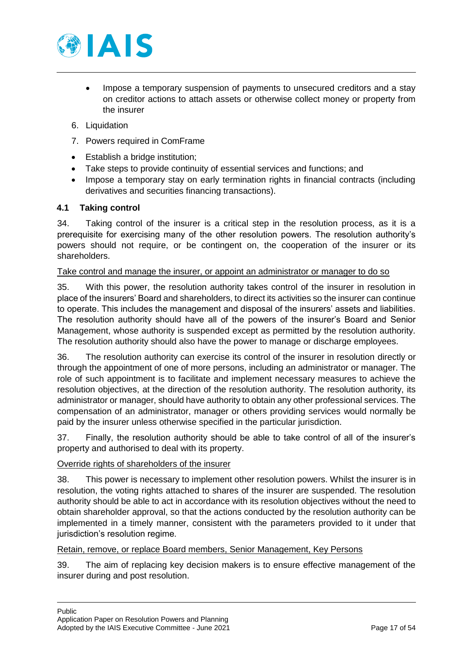

- Impose a temporary suspension of payments to unsecured creditors and a stay on creditor actions to attach assets or otherwise collect money or property from the insurer
- 6. Liquidation
- 7. Powers required in ComFrame
- Establish a bridge institution:
- Take steps to provide continuity of essential services and functions; and
- Impose a temporary stay on early termination rights in financial contracts (including derivatives and securities financing transactions).

### <span id="page-16-0"></span>**4.1 Taking control**

34. Taking control of the insurer is a critical step in the resolution process, as it is a prerequisite for exercising many of the other resolution powers. The resolution authority's powers should not require, or be contingent on, the cooperation of the insurer or its shareholders.

### Take control and manage the insurer, or appoint an administrator or manager to do so

35. With this power, the resolution authority takes control of the insurer in resolution in place of the insurers' Board and shareholders, to direct its activities so the insurer can continue to operate. This includes the management and disposal of the insurers' assets and liabilities. The resolution authority should have all of the powers of the insurer's Board and Senior Management, whose authority is suspended except as permitted by the resolution authority. The resolution authority should also have the power to manage or discharge employees.

36. The resolution authority can exercise its control of the insurer in resolution directly or through the appointment of one of more persons, including an administrator or manager. The role of such appointment is to facilitate and implement necessary measures to achieve the resolution objectives, at the direction of the resolution authority. The resolution authority, its administrator or manager, should have authority to obtain any other professional services. The compensation of an administrator, manager or others providing services would normally be paid by the insurer unless otherwise specified in the particular jurisdiction.

37. Finally, the resolution authority should be able to take control of all of the insurer's property and authorised to deal with its property.

#### Override rights of shareholders of the insurer

38. This power is necessary to implement other resolution powers. Whilst the insurer is in resolution, the voting rights attached to shares of the insurer are suspended. The resolution authority should be able to act in accordance with its resolution objectives without the need to obtain shareholder approval, so that the actions conducted by the resolution authority can be implemented in a timely manner, consistent with the parameters provided to it under that jurisdiction's resolution regime.

#### Retain, remove, or replace Board members, Senior Management, Key Persons

39. The aim of replacing key decision makers is to ensure effective management of the insurer during and post resolution.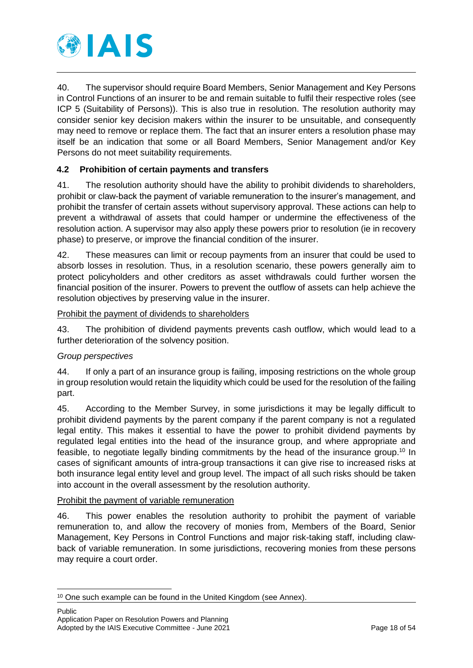

40. The supervisor should require Board Members, Senior Management and Key Persons in Control Functions of an insurer to be and remain suitable to fulfil their respective roles (see ICP 5 (Suitability of Persons)). This is also true in resolution. The resolution authority may consider senior key decision makers within the insurer to be unsuitable, and consequently may need to remove or replace them. The fact that an insurer enters a resolution phase may itself be an indication that some or all Board Members, Senior Management and/or Key Persons do not meet suitability requirements.

### <span id="page-17-0"></span>**4.2 Prohibition of certain payments and transfers**

41. The resolution authority should have the ability to prohibit dividends to shareholders, prohibit or claw-back the payment of variable remuneration to the insurer's management, and prohibit the transfer of certain assets without supervisory approval. These actions can help to prevent a withdrawal of assets that could hamper or undermine the effectiveness of the resolution action. A supervisor may also apply these powers prior to resolution (ie in recovery phase) to preserve, or improve the financial condition of the insurer.

42. These measures can limit or recoup payments from an insurer that could be used to absorb losses in resolution. Thus, in a resolution scenario, these powers generally aim to protect policyholders and other creditors as asset withdrawals could further worsen the financial position of the insurer. Powers to prevent the outflow of assets can help achieve the resolution objectives by preserving value in the insurer.

### Prohibit the payment of dividends to shareholders

43. The prohibition of dividend payments prevents cash outflow, which would lead to a further deterioration of the solvency position.

### *Group perspectives*

-

44. If only a part of an insurance group is failing, imposing restrictions on the whole group in group resolution would retain the liquidity which could be used for the resolution of the failing part.

45. According to the Member Survey, in some jurisdictions it may be legally difficult to prohibit dividend payments by the parent company if the parent company is not a regulated legal entity. This makes it essential to have the power to prohibit dividend payments by regulated legal entities into the head of the insurance group, and where appropriate and feasible, to negotiate legally binding commitments by the head of the insurance group.<sup>10</sup> In cases of significant amounts of intra-group transactions it can give rise to increased risks at both insurance legal entity level and group level. The impact of all such risks should be taken into account in the overall assessment by the resolution authority.

#### Prohibit the payment of variable remuneration

46. This power enables the resolution authority to prohibit the payment of variable remuneration to, and allow the recovery of monies from, Members of the Board, Senior Management, Key Persons in Control Functions and major risk-taking staff, including clawback of variable remuneration. In some jurisdictions, recovering monies from these persons may require a court order.

<sup>&</sup>lt;sup>10</sup> One such example can be found in the United Kingdom (see Annex).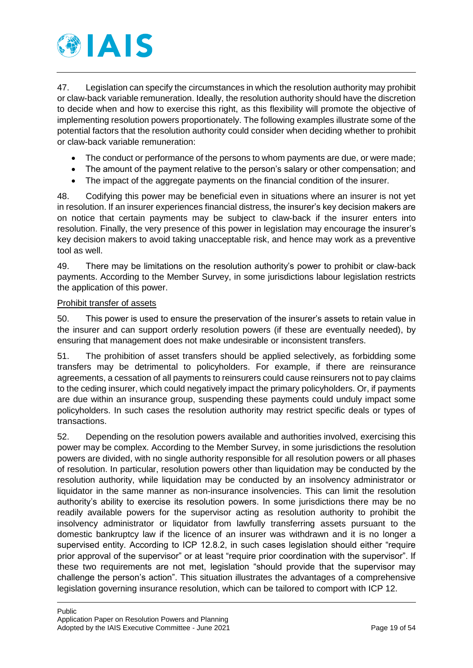

47. Legislation can specify the circumstances in which the resolution authority may prohibit or claw-back variable remuneration. Ideally, the resolution authority should have the discretion to decide when and how to exercise this right, as this flexibility will promote the objective of implementing resolution powers proportionately. The following examples illustrate some of the potential factors that the resolution authority could consider when deciding whether to prohibit or claw-back variable remuneration:

- The conduct or performance of the persons to whom payments are due, or were made;
- The amount of the payment relative to the person's salary or other compensation; and
- The impact of the aggregate payments on the financial condition of the insurer.

48. Codifying this power may be beneficial even in situations where an insurer is not yet in resolution. If an insurer experiences financial distress, the insurer's key decision makers are on notice that certain payments may be subject to claw-back if the insurer enters into resolution. Finally, the very presence of this power in legislation may encourage the insurer's key decision makers to avoid taking unacceptable risk, and hence may work as a preventive tool as well.

49. There may be limitations on the resolution authority's power to prohibit or claw-back payments. According to the Member Survey, in some jurisdictions labour legislation restricts the application of this power.

### Prohibit transfer of assets

50. This power is used to ensure the preservation of the insurer's assets to retain value in the insurer and can support orderly resolution powers (if these are eventually needed), by ensuring that management does not make undesirable or inconsistent transfers.

51. The prohibition of asset transfers should be applied selectively, as forbidding some transfers may be detrimental to policyholders. For example, if there are reinsurance agreements, a cessation of all payments to reinsurers could cause reinsurers not to pay claims to the ceding insurer, which could negatively impact the primary policyholders. Or, if payments are due within an insurance group, suspending these payments could unduly impact some policyholders. In such cases the resolution authority may restrict specific deals or types of transactions.

52. Depending on the resolution powers available and authorities involved, exercising this power may be complex. According to the Member Survey, in some jurisdictions the resolution powers are divided, with no single authority responsible for all resolution powers or all phases of resolution. In particular, resolution powers other than liquidation may be conducted by the resolution authority, while liquidation may be conducted by an insolvency administrator or liquidator in the same manner as non-insurance insolvencies. This can limit the resolution authority's ability to exercise its resolution powers. In some jurisdictions there may be no readily available powers for the supervisor acting as resolution authority to prohibit the insolvency administrator or liquidator from lawfully transferring assets pursuant to the domestic bankruptcy law if the licence of an insurer was withdrawn and it is no longer a supervised entity. According to ICP 12.8.2, in such cases legislation should either "require prior approval of the supervisor" or at least "require prior coordination with the supervisor". If these two requirements are not met, legislation "should provide that the supervisor may challenge the person's action". This situation illustrates the advantages of a comprehensive legislation governing insurance resolution, which can be tailored to comport with ICP 12.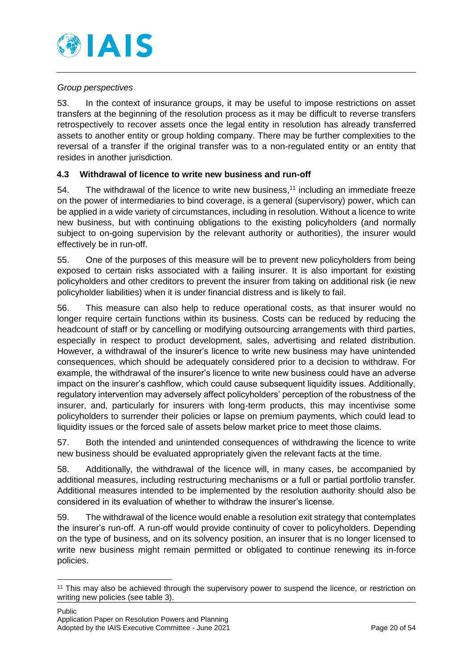

### *Group perspectives*

53. In the context of insurance groups, it may be useful to impose restrictions on asset transfers at the beginning of the resolution process as it may be difficult to reverse transfers retrospectively to recover assets once the legal entity in resolution has already transferred assets to another entity or group holding company. There may be further complexities to the reversal of a transfer if the original transfer was to a non-regulated entity or an entity that resides in another jurisdiction.

### <span id="page-19-0"></span>**4.3 Withdrawal of licence to write new business and run-off**

54. The withdrawal of the licence to write new business,<sup>11</sup> including an immediate freeze on the power of intermediaries to bind coverage, is a general (supervisory) power, which can be applied in a wide variety of circumstances, including in resolution. Without a licence to write new business, but with continuing obligations to the existing policyholders (and normally subject to on-going supervision by the relevant authority or authorities), the insurer would effectively be in run-off.

55. One of the purposes of this measure will be to prevent new policyholders from being exposed to certain risks associated with a failing insurer. It is also important for existing policyholders and other creditors to prevent the insurer from taking on additional risk (ie new policyholder liabilities) when it is under financial distress and is likely to fail.

56. This measure can also help to reduce operational costs, as that insurer would no longer require certain functions within its business. Costs can be reduced by reducing the headcount of staff or by cancelling or modifying outsourcing arrangements with third parties, especially in respect to product development, sales, advertising and related distribution. However, a withdrawal of the insurer's licence to write new business may have unintended consequences, which should be adequately considered prior to a decision to withdraw. For example, the withdrawal of the insurer's licence to write new business could have an adverse impact on the insurer's cashflow, which could cause subsequent liquidity issues. Additionally, regulatory intervention may adversely affect policyholders' perception of the robustness of the insurer, and, particularly for insurers with long-term products, this may incentivise some policyholders to surrender their policies or lapse on premium payments, which could lead to liquidity issues or the forced sale of assets below market price to meet those claims.

57. Both the intended and unintended consequences of withdrawing the licence to write new business should be evaluated appropriately given the relevant facts at the time.

58. Additionally, the withdrawal of the licence will, in many cases, be accompanied by additional measures, including restructuring mechanisms or a full or partial portfolio transfer. Additional measures intended to be implemented by the resolution authority should also be considered in its evaluation of whether to withdraw the insurer's license.

59. The withdrawal of the licence would enable a resolution exit strategy that contemplates the insurer's run-off. A run-off would provide continuity of cover to policyholders. Depending on the type of business, and on its solvency position, an insurer that is no longer licensed to write new business might remain permitted or obligated to continue renewing its in-force policies.

<sup>&</sup>lt;sup>11</sup> This may also be achieved through the supervisory power to suspend the licence, or restriction on writing new policies (see table 3).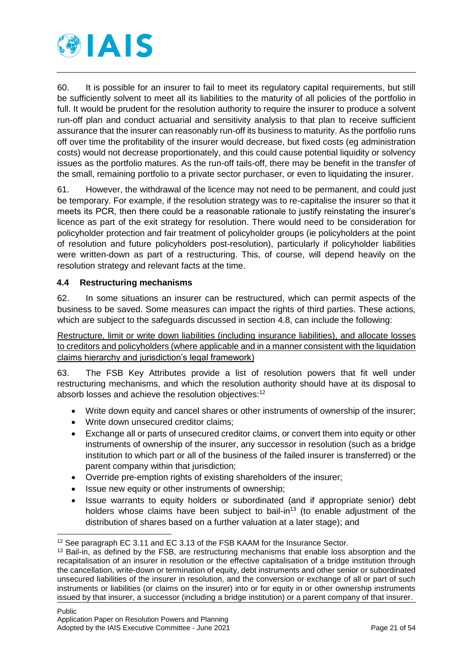

60. It is possible for an insurer to fail to meet its regulatory capital requirements, but still be sufficiently solvent to meet all its liabilities to the maturity of all policies of the portfolio in full. It would be prudent for the resolution authority to require the insurer to produce a solvent run-off plan and conduct actuarial and sensitivity analysis to that plan to receive sufficient assurance that the insurer can reasonably run-off its business to maturity. As the portfolio runs off over time the profitability of the insurer would decrease, but fixed costs (eg administration costs) would not decrease proportionately, and this could cause potential liquidity or solvency issues as the portfolio matures. As the run-off tails-off, there may be benefit in the transfer of the small, remaining portfolio to a private sector purchaser, or even to liquidating the insurer.

61. However, the withdrawal of the licence may not need to be permanent, and could just be temporary. For example, if the resolution strategy was to re-capitalise the insurer so that it meets its PCR, then there could be a reasonable rationale to justify reinstating the insurer's licence as part of the exit strategy for resolution. There would need to be consideration for policyholder protection and fair treatment of policyholder groups (ie policyholders at the point of resolution and future policyholders post-resolution), particularly if policyholder liabilities were written-down as part of a restructuring. This, of course, will depend heavily on the resolution strategy and relevant facts at the time.

### <span id="page-20-0"></span>**4.4 Restructuring mechanisms**

62. In some situations an insurer can be restructured, which can permit aspects of the business to be saved. Some measures can impact the rights of third parties. These actions, which are subject to the safeguards discussed in section [4.8,](#page-28-0) can include the following:

Restructure, limit or write down liabilities (including insurance liabilities), and allocate losses to creditors and policyholders (where applicable and in a manner consistent with the liquidation claims hierarchy and jurisdiction's legal framework)

63. The FSB Key Attributes provide a list of resolution powers that fit well under restructuring mechanisms, and which the resolution authority should have at its disposal to absorb losses and achieve the resolution objectives:<sup>12</sup>

- Write down equity and cancel shares or other instruments of ownership of the insurer;
- Write down unsecured creditor claims:
- Exchange all or parts of unsecured creditor claims, or convert them into equity or other instruments of ownership of the insurer, any successor in resolution (such as a bridge institution to which part or all of the business of the failed insurer is transferred) or the parent company within that jurisdiction;
- Override pre-emption rights of existing shareholders of the insurer;
- Issue new equity or other instruments of ownership;
- Issue warrants to equity holders or subordinated (and if appropriate senior) debt holders whose claims have been subject to bail-in<sup>13</sup> (to enable adjustment of the distribution of shares based on a further valuation at a later stage); and

<sup>-</sup><sup>12</sup> See paragraph EC 3.11 and EC 3.13 of the FSB KAAM for the Insurance Sector.

<sup>&</sup>lt;sup>13</sup> Bail-in, as defined by the FSB, are restructuring mechanisms that enable loss absorption and the recapitalisation of an insurer in resolution or the effective capitalisation of a bridge institution through the cancellation, write-down or termination of equity, debt instruments and other senior or subordinated unsecured liabilities of the insurer in resolution, and the conversion or exchange of all or part of such instruments or liabilities (or claims on the insurer) into or for equity in or other ownership instruments issued by that insurer, a successor (including a bridge institution) or a parent company of that insurer.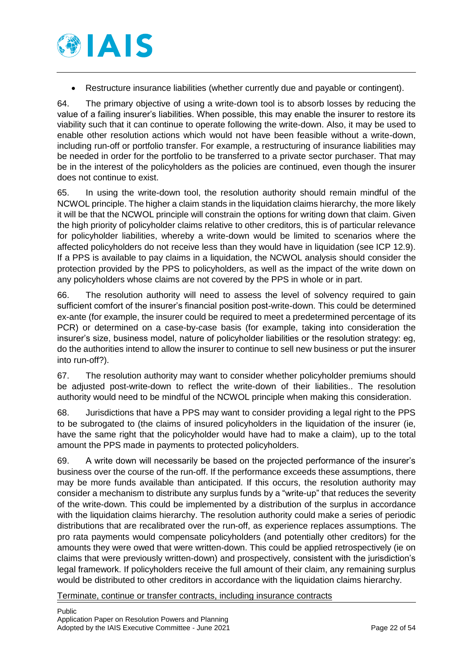

Restructure insurance liabilities (whether currently due and payable or contingent).

64. The primary objective of using a write-down tool is to absorb losses by reducing the value of a failing insurer's liabilities. When possible, this may enable the insurer to restore its viability such that it can continue to operate following the write-down. Also, it may be used to enable other resolution actions which would not have been feasible without a write-down, including run-off or portfolio transfer. For example, a restructuring of insurance liabilities may be needed in order for the portfolio to be transferred to a private sector purchaser. That may be in the interest of the policyholders as the policies are continued, even though the insurer does not continue to exist.

65. In using the write-down tool, the resolution authority should remain mindful of the NCWOL principle. The higher a claim stands in the liquidation claims hierarchy, the more likely it will be that the NCWOL principle will constrain the options for writing down that claim. Given the high priority of policyholder claims relative to other creditors, this is of particular relevance for policyholder liabilities, whereby a write-down would be limited to scenarios where the affected policyholders do not receive less than they would have in liquidation (see ICP 12.9). If a PPS is available to pay claims in a liquidation, the NCWOL analysis should consider the protection provided by the PPS to policyholders, as well as the impact of the write down on any policyholders whose claims are not covered by the PPS in whole or in part.

66. The resolution authority will need to assess the level of solvency required to gain sufficient comfort of the insurer's financial position post-write-down. This could be determined ex-ante (for example, the insurer could be required to meet a predetermined percentage of its PCR) or determined on a case-by-case basis (for example, taking into consideration the insurer's size, business model, nature of policyholder liabilities or the resolution strategy: eg, do the authorities intend to allow the insurer to continue to sell new business or put the insurer into run-off?).

67. The resolution authority may want to consider whether policyholder premiums should be adjusted post-write-down to reflect the write-down of their liabilities.. The resolution authority would need to be mindful of the NCWOL principle when making this consideration.

68. Jurisdictions that have a PPS may want to consider providing a legal right to the PPS to be subrogated to (the claims of insured policyholders in the liquidation of the insurer (ie, have the same right that the policyholder would have had to make a claim), up to the total amount the PPS made in payments to protected policyholders.

69. A write down will necessarily be based on the projected performance of the insurer's business over the course of the run-off. If the performance exceeds these assumptions, there may be more funds available than anticipated. If this occurs, the resolution authority may consider a mechanism to distribute any surplus funds by a "write-up" that reduces the severity of the write-down. This could be implemented by a distribution of the surplus in accordance with the liquidation claims hierarchy. The resolution authority could make a series of periodic distributions that are recalibrated over the run-off, as experience replaces assumptions. The pro rata payments would compensate policyholders (and potentially other creditors) for the amounts they were owed that were written-down. This could be applied retrospectively (ie on claims that were previously written-down) and prospectively, consistent with the jurisdiction's legal framework. If policyholders receive the full amount of their claim, any remaining surplus would be distributed to other creditors in accordance with the liquidation claims hierarchy.

Terminate, continue or transfer contracts, including insurance contracts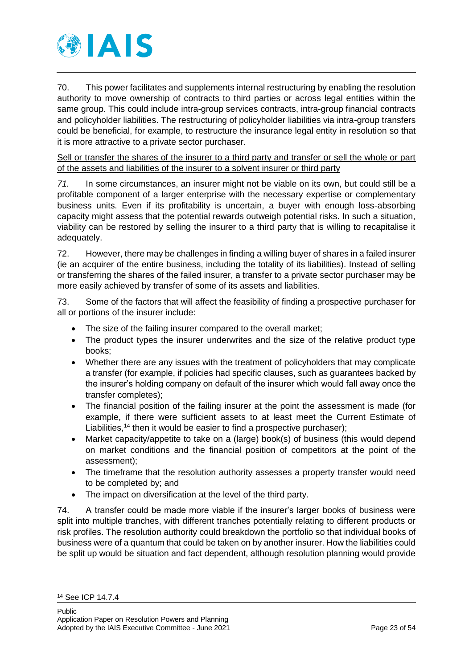

70. This power facilitates and supplements internal restructuring by enabling the resolution authority to move ownership of contracts to third parties or across legal entities within the same group. This could include intra-group services contracts, intra-group financial contracts and policyholder liabilities. The restructuring of policyholder liabilities via intra-group transfers could be beneficial, for example, to restructure the insurance legal entity in resolution so that it is more attractive to a private sector purchaser.

Sell or transfer the shares of the insurer to a third party and transfer or sell the whole or part of the assets and liabilities of the insurer to a solvent insurer or third party

*71.* In some circumstances, an insurer might not be viable on its own, but could still be a profitable component of a larger enterprise with the necessary expertise or complementary business units. Even if its profitability is uncertain, a buyer with enough loss-absorbing capacity might assess that the potential rewards outweigh potential risks. In such a situation, viability can be restored by selling the insurer to a third party that is willing to recapitalise it adequately.

72. However, there may be challenges in finding a willing buyer of shares in a failed insurer (ie an acquirer of the entire business, including the totality of its liabilities). Instead of selling or transferring the shares of the failed insurer, a transfer to a private sector purchaser may be more easily achieved by transfer of some of its assets and liabilities.

73. Some of the factors that will affect the feasibility of finding a prospective purchaser for all or portions of the insurer include:

- The size of the failing insurer compared to the overall market:
- The product types the insurer underwrites and the size of the relative product type books;
- Whether there are any issues with the treatment of policyholders that may complicate a transfer (for example, if policies had specific clauses, such as guarantees backed by the insurer's holding company on default of the insurer which would fall away once the transfer completes);
- The financial position of the failing insurer at the point the assessment is made (for example, if there were sufficient assets to at least meet the Current Estimate of Liabilities,<sup>14</sup> then it would be easier to find a prospective purchaser);
- Market capacity/appetite to take on a (large) book(s) of business (this would depend on market conditions and the financial position of competitors at the point of the assessment);
- The timeframe that the resolution authority assesses a property transfer would need to be completed by; and
- The impact on diversification at the level of the third party.

74. A transfer could be made more viable if the insurer's larger books of business were split into multiple tranches, with different tranches potentially relating to different products or risk profiles. The resolution authority could breakdown the portfolio so that individual books of business were of a quantum that could be taken on by another insurer. How the liabilities could be split up would be situation and fact dependent, although resolution planning would provide

<sup>14</sup> See ICP 14.7.4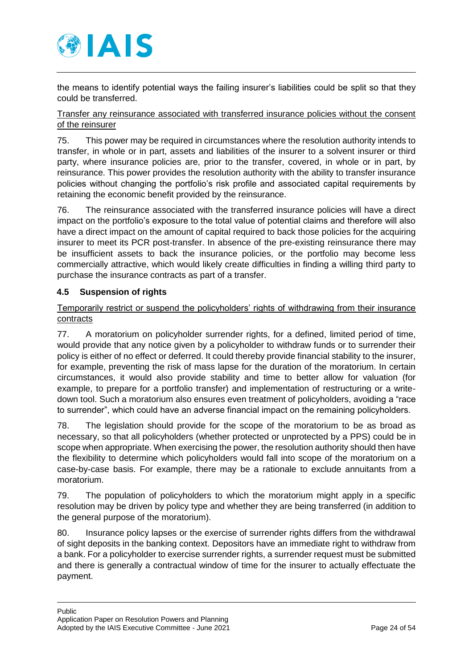

the means to identify potential ways the failing insurer's liabilities could be split so that they could be transferred.

### Transfer any reinsurance associated with transferred insurance policies without the consent of the reinsurer

75. This power may be required in circumstances where the resolution authority intends to transfer, in whole or in part, assets and liabilities of the insurer to a solvent insurer or third party, where insurance policies are, prior to the transfer, covered, in whole or in part, by reinsurance. This power provides the resolution authority with the ability to transfer insurance policies without changing the portfolio's risk profile and associated capital requirements by retaining the economic benefit provided by the reinsurance.

76. The reinsurance associated with the transferred insurance policies will have a direct impact on the portfolio's exposure to the total value of potential claims and therefore will also have a direct impact on the amount of capital required to back those policies for the acquiring insurer to meet its PCR post-transfer. In absence of the pre-existing reinsurance there may be insufficient assets to back the insurance policies, or the portfolio may become less commercially attractive, which would likely create difficulties in finding a willing third party to purchase the insurance contracts as part of a transfer.

### <span id="page-23-0"></span>**4.5 Suspension of rights**

### Temporarily restrict or suspend the policyholders' rights of withdrawing from their insurance contracts

77. A moratorium on policyholder surrender rights, for a defined, limited period of time, would provide that any notice given by a policyholder to withdraw funds or to surrender their policy is either of no effect or deferred. It could thereby provide financial stability to the insurer, for example, preventing the risk of mass lapse for the duration of the moratorium. In certain circumstances, it would also provide stability and time to better allow for valuation (for example, to prepare for a portfolio transfer) and implementation of restructuring or a writedown tool. Such a moratorium also ensures even treatment of policyholders, avoiding a "race to surrender", which could have an adverse financial impact on the remaining policyholders.

78. The legislation should provide for the scope of the moratorium to be as broad as necessary, so that all policyholders (whether protected or unprotected by a PPS) could be in scope when appropriate. When exercising the power, the resolution authority should then have the flexibility to determine which policyholders would fall into scope of the moratorium on a case-by-case basis. For example, there may be a rationale to exclude annuitants from a moratorium.

79. The population of policyholders to which the moratorium might apply in a specific resolution may be driven by policy type and whether they are being transferred (in addition to the general purpose of the moratorium).

80. Insurance policy lapses or the exercise of surrender rights differs from the withdrawal of sight deposits in the banking context. Depositors have an immediate right to withdraw from a bank. For a policyholder to exercise surrender rights, a surrender request must be submitted and there is generally a contractual window of time for the insurer to actually effectuate the payment.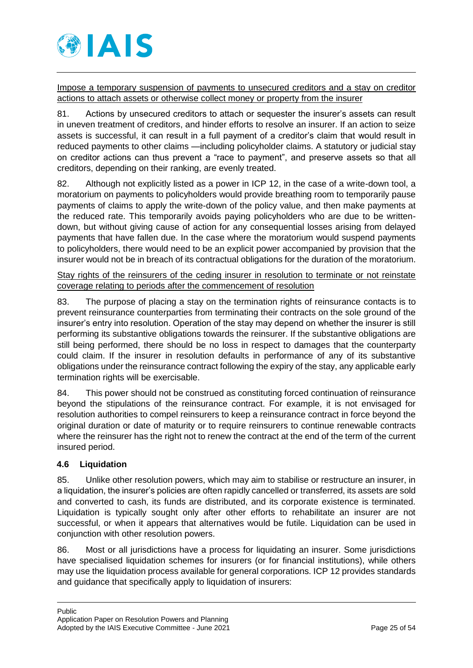

Impose a temporary suspension of payments to unsecured creditors and a stay on creditor actions to attach assets or otherwise collect money or property from the insurer

81. Actions by unsecured creditors to attach or sequester the insurer's assets can result in uneven treatment of creditors, and hinder efforts to resolve an insurer. If an action to seize assets is successful, it can result in a full payment of a creditor's claim that would result in reduced payments to other claims —including policyholder claims. A statutory or judicial stay on creditor actions can thus prevent a "race to payment", and preserve assets so that all creditors, depending on their ranking, are evenly treated.

82. Although not explicitly listed as a power in ICP 12, in the case of a write-down tool, a moratorium on payments to policyholders would provide breathing room to temporarily pause payments of claims to apply the write-down of the policy value, and then make payments at the reduced rate. This temporarily avoids paying policyholders who are due to be writtendown, but without giving cause of action for any consequential losses arising from delayed payments that have fallen due. In the case where the moratorium would suspend payments to policyholders, there would need to be an explicit power accompanied by provision that the insurer would not be in breach of its contractual obligations for the duration of the moratorium.

Stay rights of the reinsurers of the ceding insurer in resolution to terminate or not reinstate coverage relating to periods after the commencement of resolution

83. The purpose of placing a stay on the termination rights of reinsurance contacts is to prevent reinsurance counterparties from terminating their contracts on the sole ground of the insurer's entry into resolution. Operation of the stay may depend on whether the insurer is still performing its substantive obligations towards the reinsurer. If the substantive obligations are still being performed, there should be no loss in respect to damages that the counterparty could claim. If the insurer in resolution defaults in performance of any of its substantive obligations under the reinsurance contract following the expiry of the stay, any applicable early termination rights will be exercisable.

84. This power should not be construed as constituting forced continuation of reinsurance beyond the stipulations of the reinsurance contract. For example, it is not envisaged for resolution authorities to compel reinsurers to keep a reinsurance contract in force beyond the original duration or date of maturity or to require reinsurers to continue renewable contracts where the reinsurer has the right not to renew the contract at the end of the term of the current insured period.

## <span id="page-24-0"></span>**4.6 Liquidation**

85. Unlike other resolution powers, which may aim to stabilise or restructure an insurer, in a liquidation, the insurer's policies are often rapidly cancelled or transferred, its assets are sold and converted to cash, its funds are distributed, and its corporate existence is terminated. Liquidation is typically sought only after other efforts to rehabilitate an insurer are not successful, or when it appears that alternatives would be futile. Liquidation can be used in conjunction with other resolution powers.

86. Most or all jurisdictions have a process for liquidating an insurer. Some jurisdictions have specialised liquidation schemes for insurers (or for financial institutions), while others may use the liquidation process available for general corporations. ICP 12 provides standards and guidance that specifically apply to liquidation of insurers: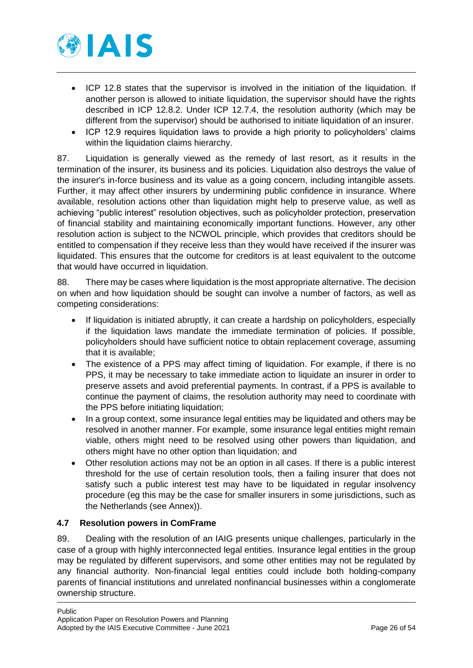

- ICP 12.8 states that the supervisor is involved in the initiation of the liquidation. If another person is allowed to initiate liquidation, the supervisor should have the rights described in ICP 12.8.2. Under ICP 12.7.4, the resolution authority (which may be different from the supervisor) should be authorised to initiate liquidation of an insurer.
- ICP 12.9 requires liquidation laws to provide a high priority to policyholders' claims within the liquidation claims hierarchy.

87. Liquidation is generally viewed as the remedy of last resort, as it results in the termination of the insurer, its business and its policies. Liquidation also destroys the value of the insurer's in-force business and its value as a going concern, including intangible assets. Further, it may affect other insurers by undermining public confidence in insurance. Where available, resolution actions other than liquidation might help to preserve value, as well as achieving "public interest" resolution objectives, such as policyholder protection, preservation of financial stability and maintaining economically important functions. However, any other resolution action is subject to the NCWOL principle, which provides that creditors should be entitled to compensation if they receive less than they would have received if the insurer was liquidated. This ensures that the outcome for creditors is at least equivalent to the outcome that would have occurred in liquidation.

88. There may be cases where liquidation is the most appropriate alternative. The decision on when and how liquidation should be sought can involve a number of factors, as well as competing considerations:

- If liquidation is initiated abruptly, it can create a hardship on policyholders, especially if the liquidation laws mandate the immediate termination of policies. If possible, policyholders should have sufficient notice to obtain replacement coverage, assuming that it is available;
- The existence of a PPS may affect timing of liquidation. For example, if there is no PPS, it may be necessary to take immediate action to liquidate an insurer in order to preserve assets and avoid preferential payments. In contrast, if a PPS is available to continue the payment of claims, the resolution authority may need to coordinate with the PPS before initiating liquidation;
- In a group context, some insurance legal entities may be liquidated and others may be resolved in another manner. For example, some insurance legal entities might remain viable, others might need to be resolved using other powers than liquidation, and others might have no other option than liquidation; and
- Other resolution actions may not be an option in all cases. If there is a public interest threshold for the use of certain resolution tools, then a failing insurer that does not satisfy such a public interest test may have to be liquidated in regular insolvency procedure (eg this may be the case for smaller insurers in some jurisdictions, such as the Netherlands (see Annex)).

## <span id="page-25-0"></span>**4.7 Resolution powers in ComFrame**

89. Dealing with the resolution of an IAIG presents unique challenges, particularly in the case of a group with highly interconnected legal entities. Insurance legal entities in the group may be regulated by different supervisors, and some other entities may not be regulated by any financial authority. Non-financial legal entities could include both holding-company parents of financial institutions and unrelated nonfinancial businesses within a conglomerate ownership structure.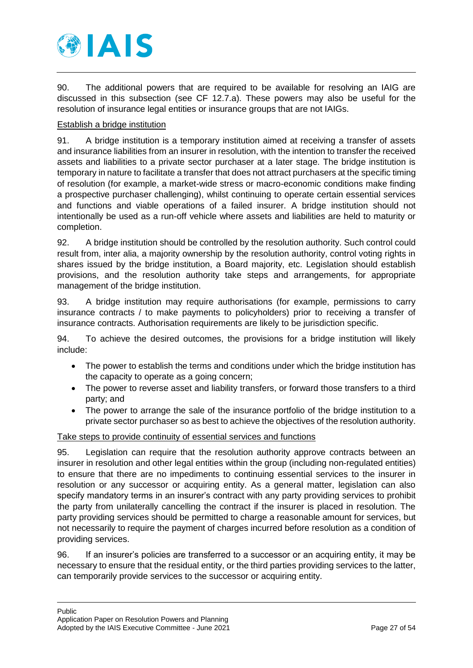

90. The additional powers that are required to be available for resolving an IAIG are discussed in this subsection (see CF 12.7.a). These powers may also be useful for the resolution of insurance legal entities or insurance groups that are not IAIGs.

### Establish a bridge institution

91. A bridge institution is a temporary institution aimed at receiving a transfer of assets and insurance liabilities from an insurer in resolution, with the intention to transfer the received assets and liabilities to a private sector purchaser at a later stage. The bridge institution is temporary in nature to facilitate a transfer that does not attract purchasers at the specific timing of resolution (for example, a market-wide stress or macro-economic conditions make finding a prospective purchaser challenging), whilst continuing to operate certain essential services and functions and viable operations of a failed insurer. A bridge institution should not intentionally be used as a run-off vehicle where assets and liabilities are held to maturity or completion.

92. A bridge institution should be controlled by the resolution authority. Such control could result from, inter alia, a majority ownership by the resolution authority, control voting rights in shares issued by the bridge institution, a Board majority, etc. Legislation should establish provisions, and the resolution authority take steps and arrangements, for appropriate management of the bridge institution.

93. A bridge institution may require authorisations (for example, permissions to carry insurance contracts / to make payments to policyholders) prior to receiving a transfer of insurance contracts. Authorisation requirements are likely to be jurisdiction specific.

94. To achieve the desired outcomes, the provisions for a bridge institution will likely include:

- The power to establish the terms and conditions under which the bridge institution has the capacity to operate as a going concern;
- The power to reverse asset and liability transfers, or forward those transfers to a third party; and
- The power to arrange the sale of the insurance portfolio of the bridge institution to a private sector purchaser so as best to achieve the objectives of the resolution authority.

### Take steps to provide continuity of essential services and functions

95. Legislation can require that the resolution authority approve contracts between an insurer in resolution and other legal entities within the group (including non-regulated entities) to ensure that there are no impediments to continuing essential services to the insurer in resolution or any successor or acquiring entity. As a general matter, legislation can also specify mandatory terms in an insurer's contract with any party providing services to prohibit the party from unilaterally cancelling the contract if the insurer is placed in resolution. The party providing services should be permitted to charge a reasonable amount for services, but not necessarily to require the payment of charges incurred before resolution as a condition of providing services.

96. If an insurer's policies are transferred to a successor or an acquiring entity, it may be necessary to ensure that the residual entity, or the third parties providing services to the latter, can temporarily provide services to the successor or acquiring entity.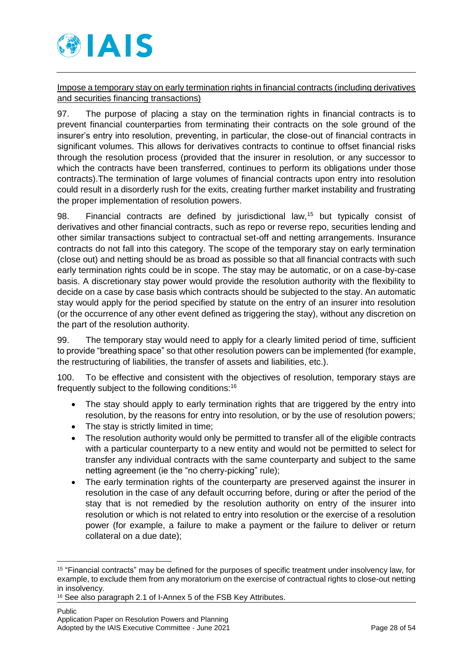

Impose a temporary stay on early termination rights in financial contracts (including derivatives and securities financing transactions)

97. The purpose of placing a stay on the termination rights in financial contracts is to prevent financial counterparties from terminating their contracts on the sole ground of the insurer's entry into resolution, preventing, in particular, the close-out of financial contracts in significant volumes. This allows for derivatives contracts to continue to offset financial risks through the resolution process (provided that the insurer in resolution, or any successor to which the contracts have been transferred, continues to perform its obligations under those contracts).The termination of large volumes of financial contracts upon entry into resolution could result in a disorderly rush for the exits, creating further market instability and frustrating the proper implementation of resolution powers.

98. Financial contracts are defined by jurisdictional law,<sup>15</sup> but typically consist of derivatives and other financial contracts, such as repo or reverse repo, securities lending and other similar transactions subject to contractual set-off and netting arrangements. Insurance contracts do not fall into this category. The scope of the temporary stay on early termination (close out) and netting should be as broad as possible so that all financial contracts with such early termination rights could be in scope. The stay may be automatic, or on a case-by-case basis. A discretionary stay power would provide the resolution authority with the flexibility to decide on a case by case basis which contracts should be subjected to the stay. An automatic stay would apply for the period specified by statute on the entry of an insurer into resolution (or the occurrence of any other event defined as triggering the stay), without any discretion on the part of the resolution authority.

99. The temporary stay would need to apply for a clearly limited period of time, sufficient to provide "breathing space" so that other resolution powers can be implemented (for example, the restructuring of liabilities, the transfer of assets and liabilities, etc.).

100. To be effective and consistent with the objectives of resolution, temporary stays are frequently subject to the following conditions:<sup>16</sup>

- The stay should apply to early termination rights that are triggered by the entry into resolution, by the reasons for entry into resolution, or by the use of resolution powers;
- The stay is strictly limited in time;
- The resolution authority would only be permitted to transfer all of the eligible contracts with a particular counterparty to a new entity and would not be permitted to select for transfer any individual contracts with the same counterparty and subject to the same netting agreement (ie the "no cherry-picking" rule);
- The early termination rights of the counterparty are preserved against the insurer in resolution in the case of any default occurring before, during or after the period of the stay that is not remedied by the resolution authority on entry of the insurer into resolution or which is not related to entry into resolution or the exercise of a resolution power (for example, a failure to make a payment or the failure to deliver or return collateral on a due date);

<sup>-</sup><sup>15</sup> "Financial contracts" may be defined for the purposes of specific treatment under insolvency law, for example, to exclude them from any moratorium on the exercise of contractual rights to close-out netting in insolvency.

<sup>16</sup> See also paragraph 2.1 of I-Annex 5 of the FSB Key Attributes.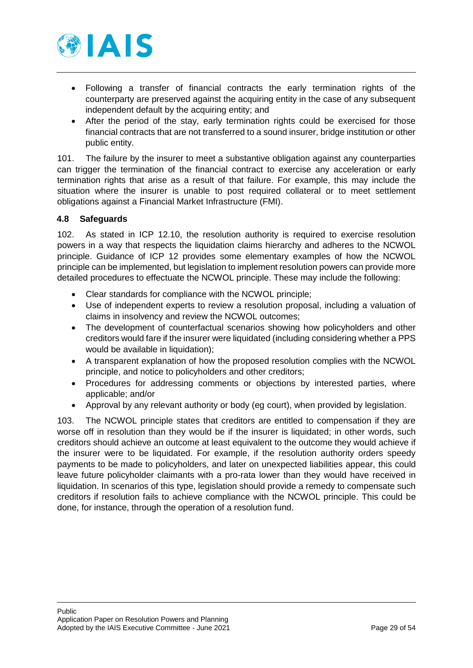

- Following a transfer of financial contracts the early termination rights of the counterparty are preserved against the acquiring entity in the case of any subsequent independent default by the acquiring entity; and
- After the period of the stay, early termination rights could be exercised for those financial contracts that are not transferred to a sound insurer, bridge institution or other public entity.

101. The failure by the insurer to meet a substantive obligation against any counterparties can trigger the termination of the financial contract to exercise any acceleration or early termination rights that arise as a result of that failure. For example, this may include the situation where the insurer is unable to post required collateral or to meet settlement obligations against a Financial Market Infrastructure (FMI).

### <span id="page-28-0"></span>**4.8 Safeguards**

102. As stated in ICP 12.10, the resolution authority is required to exercise resolution powers in a way that respects the liquidation claims hierarchy and adheres to the NCWOL principle. Guidance of ICP 12 provides some elementary examples of how the NCWOL principle can be implemented, but legislation to implement resolution powers can provide more detailed procedures to effectuate the NCWOL principle. These may include the following:

- Clear standards for compliance with the NCWOL principle;
- Use of independent experts to review a resolution proposal, including a valuation of claims in insolvency and review the NCWOL outcomes;
- The development of counterfactual scenarios showing how policyholders and other creditors would fare if the insurer were liquidated (including considering whether a PPS would be available in liquidation);
- A transparent explanation of how the proposed resolution complies with the NCWOL principle, and notice to policyholders and other creditors;
- Procedures for addressing comments or objections by interested parties, where applicable; and/or
- Approval by any relevant authority or body (eg court), when provided by legislation.

103. The NCWOL principle states that creditors are entitled to compensation if they are worse off in resolution than they would be if the insurer is liquidated; in other words, such creditors should achieve an outcome at least equivalent to the outcome they would achieve if the insurer were to be liquidated. For example, if the resolution authority orders speedy payments to be made to policyholders, and later on unexpected liabilities appear, this could leave future policyholder claimants with a pro-rata lower than they would have received in liquidation. In scenarios of this type, legislation should provide a remedy to compensate such creditors if resolution fails to achieve compliance with the NCWOL principle. This could be done, for instance, through the operation of a resolution fund.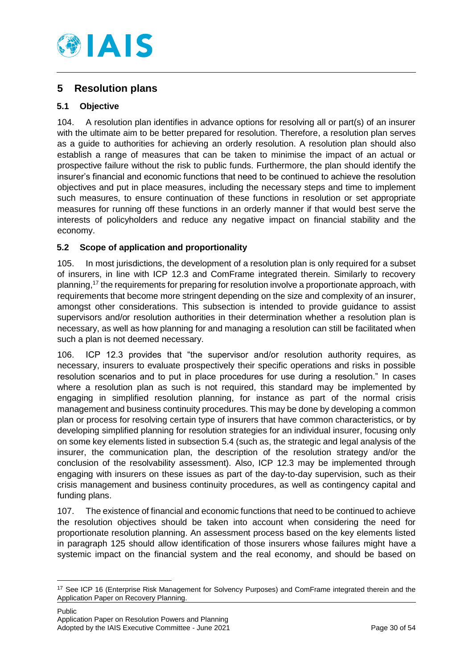

# <span id="page-29-0"></span>**5 Resolution plans**

## <span id="page-29-1"></span>**5.1 Objective**

104. A resolution plan identifies in advance options for resolving all or part(s) of an insurer with the ultimate aim to be better prepared for resolution. Therefore, a resolution plan serves as a guide to authorities for achieving an orderly resolution. A resolution plan should also establish a range of measures that can be taken to minimise the impact of an actual or prospective failure without the risk to public funds. Furthermore, the plan should identify the insurer's financial and economic functions that need to be continued to achieve the resolution objectives and put in place measures, including the necessary steps and time to implement such measures, to ensure continuation of these functions in resolution or set appropriate measures for running off these functions in an orderly manner if that would best serve the interests of policyholders and reduce any negative impact on financial stability and the economy.

## <span id="page-29-2"></span>**5.2 Scope of application and proportionality**

105. In most jurisdictions, the development of a resolution plan is only required for a subset of insurers, in line with ICP 12.3 and ComFrame integrated therein. Similarly to recovery planning,<sup>17</sup> the requirements for preparing for resolution involve a proportionate approach, with requirements that become more stringent depending on the size and complexity of an insurer, amongst other considerations. This subsection is intended to provide guidance to assist supervisors and/or resolution authorities in their determination whether a resolution plan is necessary, as well as how planning for and managing a resolution can still be facilitated when such a plan is not deemed necessary.

106. ICP 12.3 provides that "the supervisor and/or resolution authority requires, as necessary, insurers to evaluate prospectively their specific operations and risks in possible resolution scenarios and to put in place procedures for use during a resolution." In cases where a resolution plan as such is not required, this standard may be implemented by engaging in simplified resolution planning, for instance as part of the normal crisis management and business continuity procedures. This may be done by developing a common plan or process for resolving certain type of insurers that have common characteristics, or by developing simplified planning for resolution strategies for an individual insurer, focusing only on some key elements listed in subsection [5.4](#page-32-0) (such as, the strategic and legal analysis of the insurer, the communication plan, the description of the resolution strategy and/or the conclusion of the resolvability assessment). Also, ICP 12.3 may be implemented through engaging with insurers on these issues as part of the day-to-day supervision, such as their crisis management and business continuity procedures, as well as contingency capital and funding plans.

107. The existence of financial and economic functions that need to be continued to achieve the resolution objectives should be taken into account when considering the need for proportionate resolution planning. An assessment process based on the key elements listed in paragraph 125 should allow identification of those insurers whose failures might have a systemic impact on the financial system and the real economy, and should be based on

<sup>&</sup>lt;sup>17</sup> See ICP 16 (Enterprise Risk Management for Solvency Purposes) and ComFrame integrated therein and the Application Paper on Recovery Planning.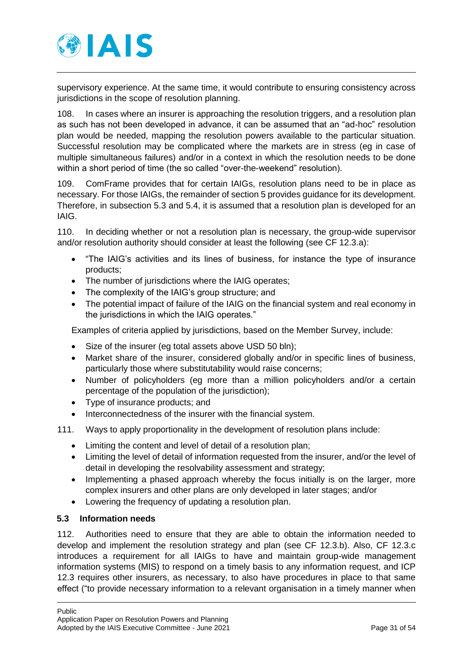

supervisory experience. At the same time, it would contribute to ensuring consistency across jurisdictions in the scope of resolution planning.

108. In cases where an insurer is approaching the resolution triggers, and a resolution plan as such has not been developed in advance, it can be assumed that an "ad-hoc" resolution plan would be needed, mapping the resolution powers available to the particular situation. Successful resolution may be complicated where the markets are in stress (eg in case of multiple simultaneous failures) and/or in a context in which the resolution needs to be done within a short period of time (the so called "over-the-weekend" resolution).

109. ComFrame provides that for certain IAIGs, resolution plans need to be in place as necessary. For those IAIGs, the remainder of section 5 provides guidance for its development. Therefore, in subsection 5.3 and 5.4, it is assumed that a resolution plan is developed for an IAIG.

110. In deciding whether or not a resolution plan is necessary, the group-wide supervisor and/or resolution authority should consider at least the following (see CF 12.3.a):

- "The IAIG's activities and its lines of business, for instance the type of insurance products;
- The number of jurisdictions where the IAIG operates;
- The complexity of the IAIG's group structure; and
- The potential impact of failure of the IAIG on the financial system and real economy in the jurisdictions in which the IAIG operates."

Examples of criteria applied by jurisdictions, based on the Member Survey, include:

- Size of the insurer (eg total assets above USD 50 bln);
- Market share of the insurer, considered globally and/or in specific lines of business, particularly those where substitutability would raise concerns;
- Number of policyholders (eg more than a million policyholders and/or a certain percentage of the population of the jurisdiction);
- Type of insurance products; and
- Interconnectedness of the insurer with the financial system.
- 111. Ways to apply proportionality in the development of resolution plans include:
	- Limiting the content and level of detail of a resolution plan;
	- Limiting the level of detail of information requested from the insurer, and/or the level of detail in developing the resolvability assessment and strategy;
	- Implementing a phased approach whereby the focus initially is on the larger, more complex insurers and other plans are only developed in later stages; and/or
	- Lowering the frequency of updating a resolution plan.

### <span id="page-30-0"></span>**5.3 Information needs**

112. Authorities need to ensure that they are able to obtain the information needed to develop and implement the resolution strategy and plan (see CF 12.3.b). Also, CF 12.3.c introduces a requirement for all IAIGs to have and maintain group-wide management information systems (MIS) to respond on a timely basis to any information request, and ICP 12.3 requires other insurers, as necessary, to also have procedures in place to that same effect ("to provide necessary information to a relevant organisation in a timely manner when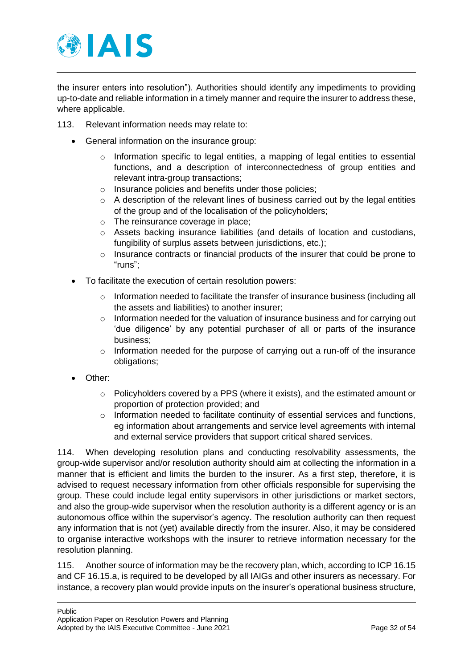

the insurer enters into resolution"). Authorities should identify any impediments to providing up-to-date and reliable information in a timely manner and require the insurer to address these, where applicable.

- 113. Relevant information needs may relate to:
	- General information on the insurance group:
		- $\circ$  Information specific to legal entities, a mapping of legal entities to essential functions, and a description of interconnectedness of group entities and relevant intra-group transactions;
		- o Insurance policies and benefits under those policies;
		- $\circ$  A description of the relevant lines of business carried out by the legal entities of the group and of the localisation of the policyholders;
		- o The reinsurance coverage in place;
		- $\circ$  Assets backing insurance liabilities (and details of location and custodians, fungibility of surplus assets between jurisdictions, etc.);
		- o Insurance contracts or financial products of the insurer that could be prone to "runs";
	- To facilitate the execution of certain resolution powers:
		- $\circ$  Information needed to facilitate the transfer of insurance business (including all the assets and liabilities) to another insurer;
		- $\circ$  Information needed for the valuation of insurance business and for carrying out 'due diligence' by any potential purchaser of all or parts of the insurance business;
		- o Information needed for the purpose of carrying out a run-off of the insurance obligations;
	- Other:
		- o Policyholders covered by a PPS (where it exists), and the estimated amount or proportion of protection provided; and
		- $\circ$  Information needed to facilitate continuity of essential services and functions, eg information about arrangements and service level agreements with internal and external service providers that support critical shared services.

114. When developing resolution plans and conducting resolvability assessments, the group-wide supervisor and/or resolution authority should aim at collecting the information in a manner that is efficient and limits the burden to the insurer. As a first step, therefore, it is advised to request necessary information from other officials responsible for supervising the group. These could include legal entity supervisors in other jurisdictions or market sectors, and also the group-wide supervisor when the resolution authority is a different agency or is an autonomous office within the supervisor's agency. The resolution authority can then request any information that is not (yet) available directly from the insurer. Also, it may be considered to organise interactive workshops with the insurer to retrieve information necessary for the resolution planning.

115. Another source of information may be the recovery plan, which, according to ICP 16.15 and CF 16.15.a, is required to be developed by all IAIGs and other insurers as necessary. For instance, a recovery plan would provide inputs on the insurer's operational business structure,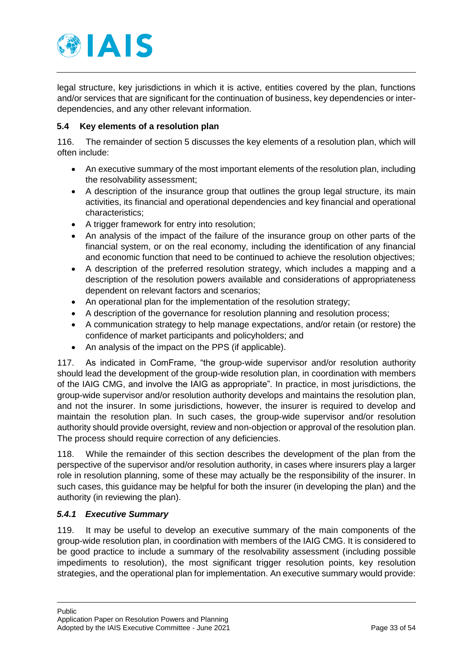

legal structure, key jurisdictions in which it is active, entities covered by the plan, functions and/or services that are significant for the continuation of business, key dependencies or interdependencies, and any other relevant information.

### <span id="page-32-0"></span>**5.4 Key elements of a resolution plan**

116. The remainder of section 5 discusses the key elements of a resolution plan, which will often include:

- An executive summary of the most important elements of the resolution plan, including the resolvability assessment;
- A description of the insurance group that outlines the group legal structure, its main activities, its financial and operational dependencies and key financial and operational characteristics;
- A trigger framework for entry into resolution;
- An analysis of the impact of the failure of the insurance group on other parts of the financial system, or on the real economy, including the identification of any financial and economic function that need to be continued to achieve the resolution objectives;
- A description of the preferred resolution strategy, which includes a mapping and a description of the resolution powers available and considerations of appropriateness dependent on relevant factors and scenarios;
- An operational plan for the implementation of the resolution strategy;
- A description of the governance for resolution planning and resolution process;
- A communication strategy to help manage expectations, and/or retain (or restore) the confidence of market participants and policyholders; and
- An analysis of the impact on the PPS (if applicable).

117. As indicated in ComFrame, "the group-wide supervisor and/or resolution authority should lead the development of the group-wide resolution plan, in coordination with members of the IAIG CMG, and involve the IAIG as appropriate". In practice, in most jurisdictions, the group-wide supervisor and/or resolution authority develops and maintains the resolution plan, and not the insurer. In some jurisdictions, however, the insurer is required to develop and maintain the resolution plan. In such cases, the group-wide supervisor and/or resolution authority should provide oversight, review and non-objection or approval of the resolution plan. The process should require correction of any deficiencies.

118. While the remainder of this section describes the development of the plan from the perspective of the supervisor and/or resolution authority, in cases where insurers play a larger role in resolution planning, some of these may actually be the responsibility of the insurer. In such cases, this guidance may be helpful for both the insurer (in developing the plan) and the authority (in reviewing the plan).

### <span id="page-32-1"></span>*5.4.1 Executive Summary*

119. It may be useful to develop an executive summary of the main components of the group-wide resolution plan, in coordination with members of the IAIG CMG. It is considered to be good practice to include a summary of the resolvability assessment (including possible impediments to resolution), the most significant trigger resolution points, key resolution strategies, and the operational plan for implementation. An executive summary would provide: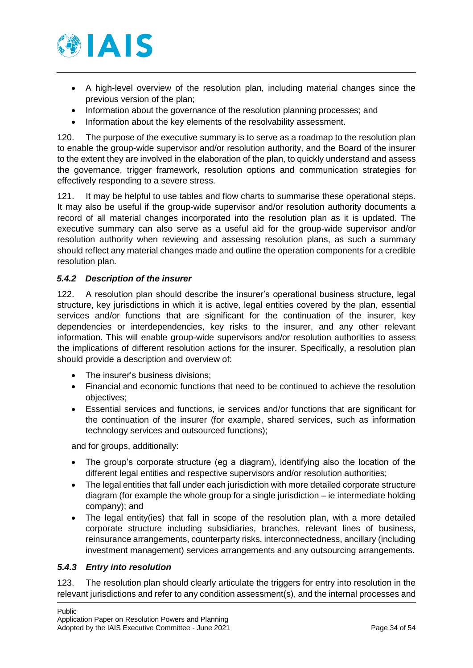

- A high-level overview of the resolution plan, including material changes since the previous version of the plan;
- Information about the governance of the resolution planning processes; and
- Information about the key elements of the resolvability assessment.

120. The purpose of the executive summary is to serve as a roadmap to the resolution plan to enable the group-wide supervisor and/or resolution authority, and the Board of the insurer to the extent they are involved in the elaboration of the plan, to quickly understand and assess the governance, trigger framework, resolution options and communication strategies for effectively responding to a severe stress.

121. It may be helpful to use tables and flow charts to summarise these operational steps. It may also be useful if the group-wide supervisor and/or resolution authority documents a record of all material changes incorporated into the resolution plan as it is updated. The executive summary can also serve as a useful aid for the group-wide supervisor and/or resolution authority when reviewing and assessing resolution plans, as such a summary should reflect any material changes made and outline the operation components for a credible resolution plan.

### <span id="page-33-0"></span>*5.4.2 Description of the insurer*

122. A resolution plan should describe the insurer's operational business structure, legal structure, key jurisdictions in which it is active, legal entities covered by the plan, essential services and/or functions that are significant for the continuation of the insurer, key dependencies or interdependencies, key risks to the insurer, and any other relevant information. This will enable group-wide supervisors and/or resolution authorities to assess the implications of different resolution actions for the insurer. Specifically, a resolution plan should provide a description and overview of:

- The insurer's business divisions;
- Financial and economic functions that need to be continued to achieve the resolution objectives;
- Essential services and functions, ie services and/or functions that are significant for the continuation of the insurer (for example, shared services, such as information technology services and outsourced functions);

and for groups, additionally:

- The group's corporate structure (eg a diagram), identifying also the location of the different legal entities and respective supervisors and/or resolution authorities;
- The legal entities that fall under each jurisdiction with more detailed corporate structure diagram (for example the whole group for a single jurisdiction – ie intermediate holding company); and
- The legal entity(ies) that fall in scope of the resolution plan, with a more detailed corporate structure including subsidiaries, branches, relevant lines of business, reinsurance arrangements, counterparty risks, interconnectedness, ancillary (including investment management) services arrangements and any outsourcing arrangements.

### <span id="page-33-1"></span>*5.4.3 Entry into resolution*

123. The resolution plan should clearly articulate the triggers for entry into resolution in the relevant jurisdictions and refer to any condition assessment(s), and the internal processes and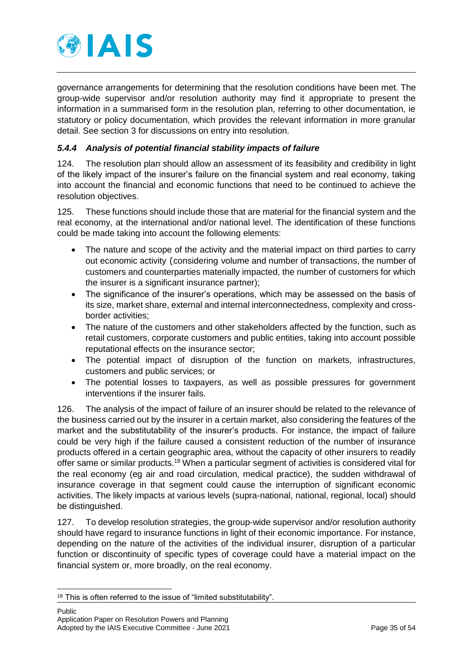

governance arrangements for determining that the resolution conditions have been met. The group-wide supervisor and/or resolution authority may find it appropriate to present the information in a summarised form in the resolution plan, referring to other documentation, ie statutory or policy documentation, which provides the relevant information in more granular detail. See section 3 for discussions on entry into resolution.

### <span id="page-34-0"></span>*5.4.4 Analysis of potential financial stability impacts of failure*

124. The resolution plan should allow an assessment of its feasibility and credibility in light of the likely impact of the insurer's failure on the financial system and real economy, taking into account the financial and economic functions that need to be continued to achieve the resolution objectives.

125. These functions should include those that are material for the financial system and the real economy, at the international and/or national level. The identification of these functions could be made taking into account the following elements:

- The nature and scope of the activity and the material impact on third parties to carry out economic activity (considering volume and number of transactions, the number of customers and counterparties materially impacted, the number of customers for which the insurer is a significant insurance partner);
- The significance of the insurer's operations, which may be assessed on the basis of its size, market share, external and internal interconnectedness, complexity and crossborder activities;
- The nature of the customers and other stakeholders affected by the function, such as retail customers, corporate customers and public entities, taking into account possible reputational effects on the insurance sector;
- The potential impact of disruption of the function on markets, infrastructures, customers and public services; or
- The potential losses to taxpayers, as well as possible pressures for government interventions if the insurer fails.

126. The analysis of the impact of failure of an insurer should be related to the relevance of the business carried out by the insurer in a certain market, also considering the features of the market and the substitutability of the insurer's products. For instance, the impact of failure could be very high if the failure caused a consistent reduction of the number of insurance products offered in a certain geographic area, without the capacity of other insurers to readily offer same or similar products.<sup>18</sup> When a particular segment of activities is considered vital for the real economy (eg air and road circulation, medical practice), the sudden withdrawal of insurance coverage in that segment could cause the interruption of significant economic activities. The likely impacts at various levels (supra-national, national, regional, local) should be distinguished.

127. To develop resolution strategies, the group-wide supervisor and/or resolution authority should have regard to insurance functions in light of their economic importance. For instance, depending on the nature of the activities of the individual insurer, disruption of a particular function or discontinuity of specific types of coverage could have a material impact on the financial system or, more broadly, on the real economy.

<sup>&</sup>lt;sup>18</sup> This is often referred to the issue of "limited substitutability".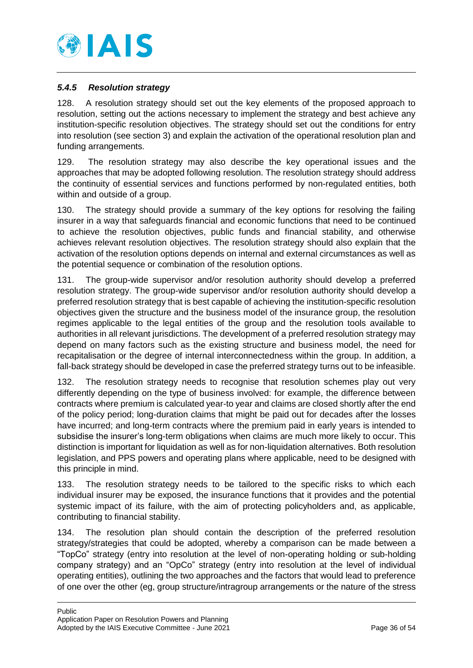

### <span id="page-35-0"></span>*5.4.5 Resolution strategy*

128. A resolution strategy should set out the key elements of the proposed approach to resolution, setting out the actions necessary to implement the strategy and best achieve any institution-specific resolution objectives. The strategy should set out the conditions for entry into resolution (see section 3) and explain the activation of the operational resolution plan and funding arrangements.

129. The resolution strategy may also describe the key operational issues and the approaches that may be adopted following resolution. The resolution strategy should address the continuity of essential services and functions performed by non-regulated entities, both within and outside of a group.

130. The strategy should provide a summary of the key options for resolving the failing insurer in a way that safeguards financial and economic functions that need to be continued to achieve the resolution objectives, public funds and financial stability, and otherwise achieves relevant resolution objectives. The resolution strategy should also explain that the activation of the resolution options depends on internal and external circumstances as well as the potential sequence or combination of the resolution options.

131. The group-wide supervisor and/or resolution authority should develop a preferred resolution strategy. The group-wide supervisor and/or resolution authority should develop a preferred resolution strategy that is best capable of achieving the institution-specific resolution objectives given the structure and the business model of the insurance group, the resolution regimes applicable to the legal entities of the group and the resolution tools available to authorities in all relevant jurisdictions. The development of a preferred resolution strategy may depend on many factors such as the existing structure and business model, the need for recapitalisation or the degree of internal interconnectedness within the group. In addition, a fall-back strategy should be developed in case the preferred strategy turns out to be infeasible.

132. The resolution strategy needs to recognise that resolution schemes play out very differently depending on the type of business involved: for example, the difference between contracts where premium is calculated year-to year and claims are closed shortly after the end of the policy period; long-duration claims that might be paid out for decades after the losses have incurred; and long-term contracts where the premium paid in early years is intended to subsidise the insurer's long-term obligations when claims are much more likely to occur. This distinction is important for liquidation as well as for non-liquidation alternatives. Both resolution legislation, and PPS powers and operating plans where applicable, need to be designed with this principle in mind.

133. The resolution strategy needs to be tailored to the specific risks to which each individual insurer may be exposed, the insurance functions that it provides and the potential systemic impact of its failure, with the aim of protecting policyholders and, as applicable, contributing to financial stability.

134. The resolution plan should contain the description of the preferred resolution strategy/strategies that could be adopted, whereby a comparison can be made between a "TopCo" strategy (entry into resolution at the level of non-operating holding or sub-holding company strategy) and an "OpCo" strategy (entry into resolution at the level of individual operating entities), outlining the two approaches and the factors that would lead to preference of one over the other (eg, group structure/intragroup arrangements or the nature of the stress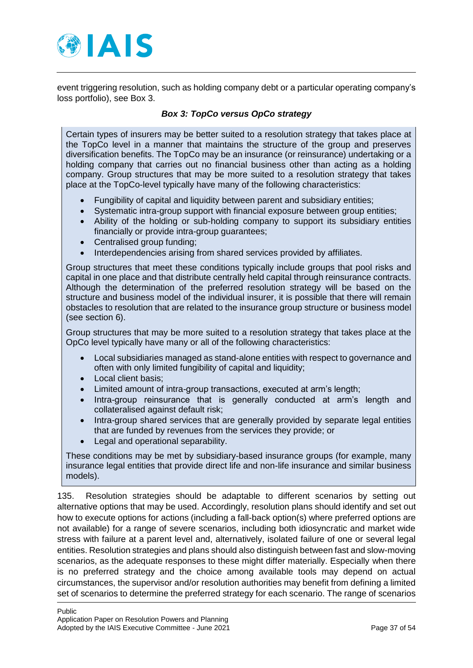

event triggering resolution, such as holding company debt or a particular operating company's loss portfolio), see [Box 3.](#page-36-0)

### *Box 3: TopCo versus OpCo strategy*

<span id="page-36-0"></span>Certain types of insurers may be better suited to a resolution strategy that takes place at the TopCo level in a manner that maintains the structure of the group and preserves diversification benefits. The TopCo may be an insurance (or reinsurance) undertaking or a holding company that carries out no financial business other than acting as a holding company. Group structures that may be more suited to a resolution strategy that takes place at the TopCo-level typically have many of the following characteristics:

- Fungibility of capital and liquidity between parent and subsidiary entities;
- Systematic intra-group support with financial exposure between group entities;
- Ability of the holding or sub-holding company to support its subsidiary entities financially or provide intra-group guarantees;
- Centralised group funding;
- Interdependencies arising from shared services provided by affiliates.

Group structures that meet these conditions typically include groups that pool risks and capital in one place and that distribute centrally held capital through reinsurance contracts. Although the determination of the preferred resolution strategy will be based on the structure and business model of the individual insurer, it is possible that there will remain obstacles to resolution that are related to the insurance group structure or business model (see section 6).

Group structures that may be more suited to a resolution strategy that takes place at the OpCo level typically have many or all of the following characteristics:

- Local subsidiaries managed as stand-alone entities with respect to governance and often with only limited fungibility of capital and liquidity;
- Local client basis;
- Limited amount of intra-group transactions, executed at arm's length;
- Intra-group reinsurance that is generally conducted at arm's length and collateralised against default risk;
- Intra-group shared services that are generally provided by separate legal entities that are funded by revenues from the services they provide; or
- Legal and operational separability.

These conditions may be met by subsidiary-based insurance groups (for example, many insurance legal entities that provide direct life and non-life insurance and similar business models).

135. Resolution strategies should be adaptable to different scenarios by setting out alternative options that may be used. Accordingly, resolution plans should identify and set out how to execute options for actions (including a fall-back option(s) where preferred options are not available) for a range of severe scenarios, including both idiosyncratic and market wide stress with failure at a parent level and, alternatively, isolated failure of one or several legal entities. Resolution strategies and plans should also distinguish between fast and slow-moving scenarios, as the adequate responses to these might differ materially. Especially when there is no preferred strategy and the choice among available tools may depend on actual circumstances, the supervisor and/or resolution authorities may benefit from defining a limited set of scenarios to determine the preferred strategy for each scenario. The range of scenarios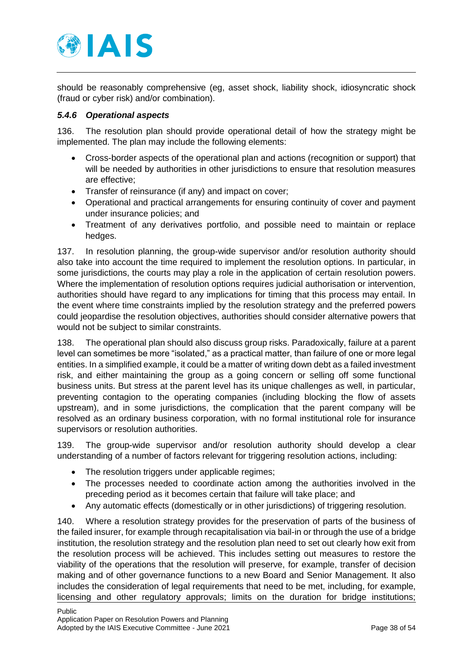

should be reasonably comprehensive (eg, asset shock, liability shock, idiosyncratic shock (fraud or cyber risk) and/or combination).

### <span id="page-37-0"></span>*5.4.6 Operational aspects*

136. The resolution plan should provide operational detail of how the strategy might be implemented. The plan may include the following elements:

- Cross-border aspects of the operational plan and actions (recognition or support) that will be needed by authorities in other jurisdictions to ensure that resolution measures are effective;
- Transfer of reinsurance (if any) and impact on cover;
- Operational and practical arrangements for ensuring continuity of cover and payment under insurance policies; and
- Treatment of any derivatives portfolio, and possible need to maintain or replace hedges.

137. In resolution planning, the group-wide supervisor and/or resolution authority should also take into account the time required to implement the resolution options. In particular, in some jurisdictions, the courts may play a role in the application of certain resolution powers. Where the implementation of resolution options requires judicial authorisation or intervention, authorities should have regard to any implications for timing that this process may entail. In the event where time constraints implied by the resolution strategy and the preferred powers could jeopardise the resolution objectives, authorities should consider alternative powers that would not be subject to similar constraints.

138. The operational plan should also discuss group risks. Paradoxically, failure at a parent level can sometimes be more "isolated," as a practical matter, than failure of one or more legal entities. In a simplified example, it could be a matter of writing down debt as a failed investment risk, and either maintaining the group as a going concern or selling off some functional business units. But stress at the parent level has its unique challenges as well, in particular, preventing contagion to the operating companies (including blocking the flow of assets upstream), and in some jurisdictions, the complication that the parent company will be resolved as an ordinary business corporation, with no formal institutional role for insurance supervisors or resolution authorities.

139. The group-wide supervisor and/or resolution authority should develop a clear understanding of a number of factors relevant for triggering resolution actions, including:

- The resolution triggers under applicable regimes;
- The processes needed to coordinate action among the authorities involved in the preceding period as it becomes certain that failure will take place; and
- Any automatic effects (domestically or in other jurisdictions) of triggering resolution.

140. Where a resolution strategy provides for the preservation of parts of the business of the failed insurer, for example through recapitalisation via bail-in or through the use of a bridge institution, the resolution strategy and the resolution plan need to set out clearly how exit from the resolution process will be achieved. This includes setting out measures to restore the viability of the operations that the resolution will preserve, for example, transfer of decision making and of other governance functions to a new Board and Senior Management. It also includes the consideration of legal requirements that need to be met, including, for example, licensing and other regulatory approvals; limits on the duration for bridge institutions;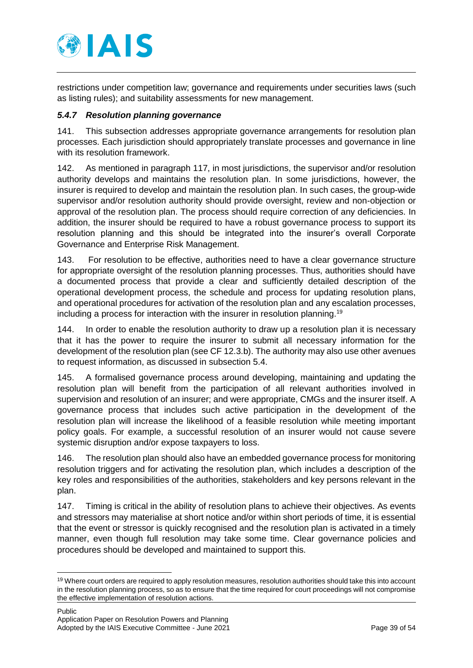

restrictions under competition law; governance and requirements under securities laws (such as listing rules); and suitability assessments for new management.

### <span id="page-38-0"></span>*5.4.7 Resolution planning governance*

141. This subsection addresses appropriate governance arrangements for resolution plan processes. Each jurisdiction should appropriately translate processes and governance in line with its resolution framework.

142. As mentioned in paragraph 117, in most jurisdictions, the supervisor and/or resolution authority develops and maintains the resolution plan. In some jurisdictions, however, the insurer is required to develop and maintain the resolution plan. In such cases, the group-wide supervisor and/or resolution authority should provide oversight, review and non-objection or approval of the resolution plan. The process should require correction of any deficiencies. In addition, the insurer should be required to have a robust governance process to support its resolution planning and this should be integrated into the insurer's overall Corporate Governance and Enterprise Risk Management.

143. For resolution to be effective, authorities need to have a clear governance structure for appropriate oversight of the resolution planning processes. Thus, authorities should have a documented process that provide a clear and sufficiently detailed description of the operational development process, the schedule and process for updating resolution plans, and operational procedures for activation of the resolution plan and any escalation processes, including a process for interaction with the insurer in resolution planning.<sup>19</sup>

144. In order to enable the resolution authority to draw up a resolution plan it is necessary that it has the power to require the insurer to submit all necessary information for the development of the resolution plan (see CF 12.3.b). The authority may also use other avenues to request information, as discussed in subsection 5.4.

145. A formalised governance process around developing, maintaining and updating the resolution plan will benefit from the participation of all relevant authorities involved in supervision and resolution of an insurer; and were appropriate, CMGs and the insurer itself. A governance process that includes such active participation in the development of the resolution plan will increase the likelihood of a feasible resolution while meeting important policy goals. For example, a successful resolution of an insurer would not cause severe systemic disruption and/or expose taxpayers to loss.

146. The resolution plan should also have an embedded governance process for monitoring resolution triggers and for activating the resolution plan, which includes a description of the key roles and responsibilities of the authorities, stakeholders and key persons relevant in the plan.

147. Timing is critical in the ability of resolution plans to achieve their objectives. As events and stressors may materialise at short notice and/or within short periods of time, it is essential that the event or stressor is quickly recognised and the resolution plan is activated in a timely manner, even though full resolution may take some time. Clear governance policies and procedures should be developed and maintained to support this.

<sup>&</sup>lt;sup>19</sup> Where court orders are required to apply resolution measures, resolution authorities should take this into account in the resolution planning process, so as to ensure that the time required for court proceedings will not compromise the effective implementation of resolution actions.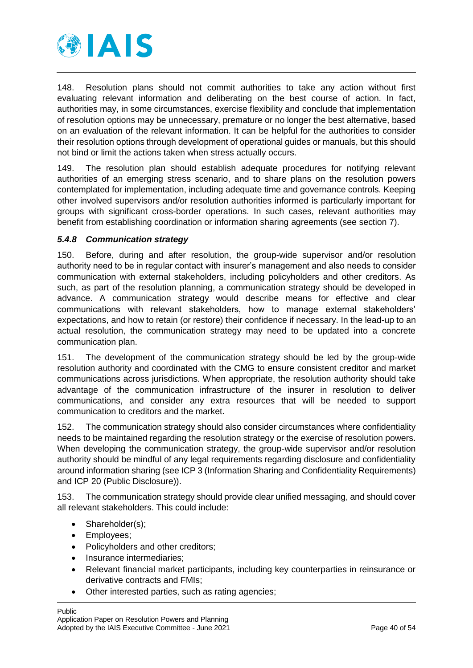

148. Resolution plans should not commit authorities to take any action without first evaluating relevant information and deliberating on the best course of action. In fact, authorities may, in some circumstances, exercise flexibility and conclude that implementation of resolution options may be unnecessary, premature or no longer the best alternative, based on an evaluation of the relevant information. It can be helpful for the authorities to consider their resolution options through development of operational guides or manuals, but this should not bind or limit the actions taken when stress actually occurs.

149. The resolution plan should establish adequate procedures for notifying relevant authorities of an emerging stress scenario, and to share plans on the resolution powers contemplated for implementation, including adequate time and governance controls. Keeping other involved supervisors and/or resolution authorities informed is particularly important for groups with significant cross-border operations. In such cases, relevant authorities may benefit from establishing coordination or information sharing agreements (see section 7).

### <span id="page-39-0"></span>*5.4.8 Communication strategy*

150. Before, during and after resolution, the group-wide supervisor and/or resolution authority need to be in regular contact with insurer's management and also needs to consider communication with external stakeholders, including policyholders and other creditors. As such, as part of the resolution planning, a communication strategy should be developed in advance. A communication strategy would describe means for effective and clear communications with relevant stakeholders, how to manage external stakeholders' expectations, and how to retain (or restore) their confidence if necessary. In the lead-up to an actual resolution, the communication strategy may need to be updated into a concrete communication plan.

151. The development of the communication strategy should be led by the group-wide resolution authority and coordinated with the CMG to ensure consistent creditor and market communications across jurisdictions. When appropriate, the resolution authority should take advantage of the communication infrastructure of the insurer in resolution to deliver communications, and consider any extra resources that will be needed to support communication to creditors and the market.

152. The communication strategy should also consider circumstances where confidentiality needs to be maintained regarding the resolution strategy or the exercise of resolution powers. When developing the communication strategy, the group-wide supervisor and/or resolution authority should be mindful of any legal requirements regarding disclosure and confidentiality around information sharing (see ICP 3 (Information Sharing and Confidentiality Requirements) and ICP 20 (Public Disclosure)).

153. The communication strategy should provide clear unified messaging, and should cover all relevant stakeholders. This could include:

- Shareholder(s);
- Employees;
- Policyholders and other creditors;
- Insurance intermediaries;
- Relevant financial market participants, including key counterparties in reinsurance or derivative contracts and FMIs;
- Other interested parties, such as rating agencies;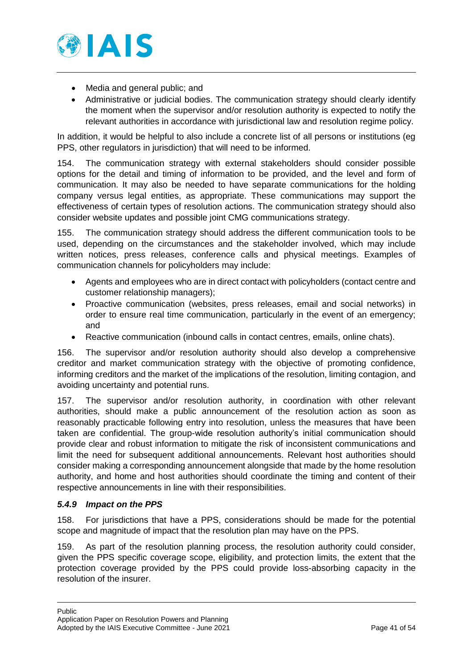

- Media and general public; and
- Administrative or judicial bodies. The communication strategy should clearly identify the moment when the supervisor and/or resolution authority is expected to notify the relevant authorities in accordance with jurisdictional law and resolution regime policy.

In addition, it would be helpful to also include a concrete list of all persons or institutions (eg PPS, other regulators in jurisdiction) that will need to be informed.

154. The communication strategy with external stakeholders should consider possible options for the detail and timing of information to be provided, and the level and form of communication. It may also be needed to have separate communications for the holding company versus legal entities, as appropriate. These communications may support the effectiveness of certain types of resolution actions. The communication strategy should also consider website updates and possible joint CMG communications strategy.

155. The communication strategy should address the different communication tools to be used, depending on the circumstances and the stakeholder involved, which may include written notices, press releases, conference calls and physical meetings. Examples of communication channels for policyholders may include:

- Agents and employees who are in direct contact with policyholders (contact centre and customer relationship managers);
- Proactive communication (websites, press releases, email and social networks) in order to ensure real time communication, particularly in the event of an emergency; and
- Reactive communication (inbound calls in contact centres, emails, online chats).

156. The supervisor and/or resolution authority should also develop a comprehensive creditor and market communication strategy with the objective of promoting confidence, informing creditors and the market of the implications of the resolution, limiting contagion, and avoiding uncertainty and potential runs.

157. The supervisor and/or resolution authority, in coordination with other relevant authorities, should make a public announcement of the resolution action as soon as reasonably practicable following entry into resolution, unless the measures that have been taken are confidential. The group-wide resolution authority's initial communication should provide clear and robust information to mitigate the risk of inconsistent communications and limit the need for subsequent additional announcements. Relevant host authorities should consider making a corresponding announcement alongside that made by the home resolution authority, and home and host authorities should coordinate the timing and content of their respective announcements in line with their responsibilities.

### <span id="page-40-0"></span>*5.4.9 Impact on the PPS*

158. For jurisdictions that have a PPS, considerations should be made for the potential scope and magnitude of impact that the resolution plan may have on the PPS.

159. As part of the resolution planning process, the resolution authority could consider, given the PPS specific coverage scope, eligibility, and protection limits, the extent that the protection coverage provided by the PPS could provide loss-absorbing capacity in the resolution of the insurer.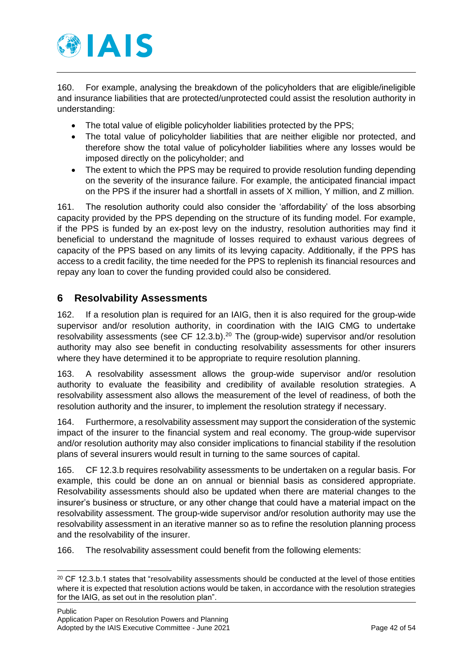

160. For example, analysing the breakdown of the policyholders that are eligible/ineligible and insurance liabilities that are protected/unprotected could assist the resolution authority in understanding:

- The total value of eligible policyholder liabilities protected by the PPS;
- The total value of policyholder liabilities that are neither eligible nor protected, and therefore show the total value of policyholder liabilities where any losses would be imposed directly on the policyholder; and
- The extent to which the PPS may be required to provide resolution funding depending on the severity of the insurance failure. For example, the anticipated financial impact on the PPS if the insurer had a shortfall in assets of X million, Y million, and Z million.

161. The resolution authority could also consider the 'affordability' of the loss absorbing capacity provided by the PPS depending on the structure of its funding model. For example, if the PPS is funded by an ex-post levy on the industry, resolution authorities may find it beneficial to understand the magnitude of losses required to exhaust various degrees of capacity of the PPS based on any limits of its levying capacity. Additionally, if the PPS has access to a credit facility, the time needed for the PPS to replenish its financial resources and repay any loan to cover the funding provided could also be considered.

# <span id="page-41-0"></span>**6 Resolvability Assessments**

162. If a resolution plan is required for an IAIG, then it is also required for the group-wide supervisor and/or resolution authority, in coordination with the IAIG CMG to undertake resolvability assessments (see CF 12.3.b).<sup>20</sup> The (group-wide) supervisor and/or resolution authority may also see benefit in conducting resolvability assessments for other insurers where they have determined it to be appropriate to require resolution planning.

163. A resolvability assessment allows the group-wide supervisor and/or resolution authority to evaluate the feasibility and credibility of available resolution strategies. A resolvability assessment also allows the measurement of the level of readiness, of both the resolution authority and the insurer, to implement the resolution strategy if necessary.

164. Furthermore, a resolvability assessment may support the consideration of the systemic impact of the insurer to the financial system and real economy. The group-wide supervisor and/or resolution authority may also consider implications to financial stability if the resolution plans of several insurers would result in turning to the same sources of capital.

165. CF 12.3.b requires resolvability assessments to be undertaken on a regular basis. For example, this could be done an on annual or biennial basis as considered appropriate. Resolvability assessments should also be updated when there are material changes to the insurer's business or structure, or any other change that could have a material impact on the resolvability assessment. The group-wide supervisor and/or resolution authority may use the resolvability assessment in an iterative manner so as to refine the resolution planning process and the resolvability of the insurer.

166. The resolvability assessment could benefit from the following elements:

 $20$  CF 12.3.b.1 states that "resolvability assessments should be conducted at the level of those entities where it is expected that resolution actions would be taken, in accordance with the resolution strategies for the IAIG, as set out in the resolution plan".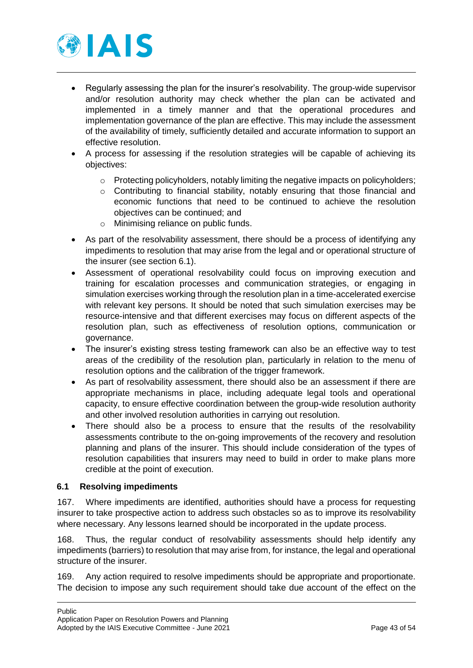

- Regularly assessing the plan for the insurer's resolvability. The group-wide supervisor and/or resolution authority may check whether the plan can be activated and implemented in a timely manner and that the operational procedures and implementation governance of the plan are effective. This may include the assessment of the availability of timely, sufficiently detailed and accurate information to support an effective resolution.
- A process for assessing if the resolution strategies will be capable of achieving its objectives:
	- o Protecting policyholders, notably limiting the negative impacts on policyholders;
	- $\circ$  Contributing to financial stability, notably ensuring that those financial and economic functions that need to be continued to achieve the resolution objectives can be continued; and
	- o Minimising reliance on public funds.
- As part of the resolvability assessment, there should be a process of identifying any impediments to resolution that may arise from the legal and or operational structure of the insurer (see section 6.1).
- Assessment of operational resolvability could focus on improving execution and training for escalation processes and communication strategies, or engaging in simulation exercises working through the resolution plan in a time-accelerated exercise with relevant key persons. It should be noted that such simulation exercises may be resource-intensive and that different exercises may focus on different aspects of the resolution plan, such as effectiveness of resolution options, communication or governance.
- The insurer's existing stress testing framework can also be an effective way to test areas of the credibility of the resolution plan, particularly in relation to the menu of resolution options and the calibration of the trigger framework.
- As part of resolvability assessment, there should also be an assessment if there are appropriate mechanisms in place, including adequate legal tools and operational capacity, to ensure effective coordination between the group-wide resolution authority and other involved resolution authorities in carrying out resolution.
- There should also be a process to ensure that the results of the resolvability assessments contribute to the on-going improvements of the recovery and resolution planning and plans of the insurer. This should include consideration of the types of resolution capabilities that insurers may need to build in order to make plans more credible at the point of execution.

### <span id="page-42-0"></span>**6.1 Resolving impediments**

167. Where impediments are identified, authorities should have a process for requesting insurer to take prospective action to address such obstacles so as to improve its resolvability where necessary. Any lessons learned should be incorporated in the update process.

168. Thus, the regular conduct of resolvability assessments should help identify any impediments (barriers) to resolution that may arise from, for instance, the legal and operational structure of the insurer.

169. Any action required to resolve impediments should be appropriate and proportionate. The decision to impose any such requirement should take due account of the effect on the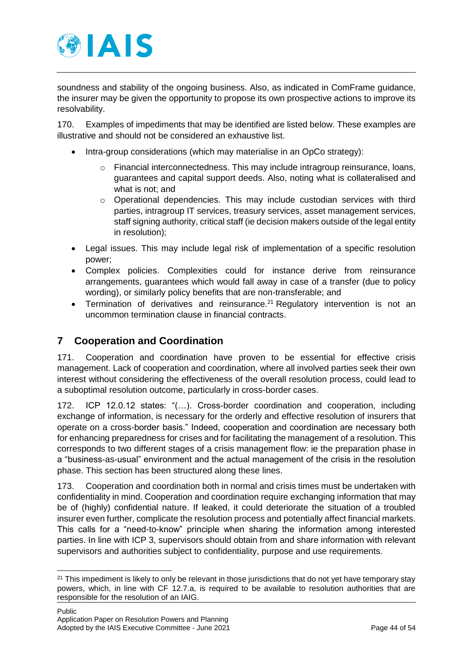

soundness and stability of the ongoing business. Also, as indicated in ComFrame guidance, the insurer may be given the opportunity to propose its own prospective actions to improve its resolvability.

170. Examples of impediments that may be identified are listed below. These examples are illustrative and should not be considered an exhaustive list.

- Intra-group considerations (which may materialise in an OpCo strategy):
	- o Financial interconnectedness. This may include intragroup reinsurance, loans, guarantees and capital support deeds. Also, noting what is collateralised and what is not; and
	- o Operational dependencies. This may include custodian services with third parties, intragroup IT services, treasury services, asset management services, staff signing authority, critical staff (ie decision makers outside of the legal entity in resolution);
- Legal issues. This may include legal risk of implementation of a specific resolution power;
- Complex policies. Complexities could for instance derive from reinsurance arrangements, guarantees which would fall away in case of a transfer (due to policy wording), or similarly policy benefits that are non-transferable; and
- Termination of derivatives and reinsurance.<sup>21</sup> Regulatory intervention is not an uncommon termination clause in financial contracts.

# <span id="page-43-0"></span>**7 Cooperation and Coordination**

171. Cooperation and coordination have proven to be essential for effective crisis management. Lack of cooperation and coordination, where all involved parties seek their own interest without considering the effectiveness of the overall resolution process, could lead to a suboptimal resolution outcome, particularly in cross-border cases.

172. ICP 12.0.12 states: "(…). Cross-border coordination and cooperation, including exchange of information, is necessary for the orderly and effective resolution of insurers that operate on a cross-border basis." Indeed, cooperation and coordination are necessary both for enhancing preparedness for crises and for facilitating the management of a resolution. This corresponds to two different stages of a crisis management flow: ie the preparation phase in a "business-as-usual" environment and the actual management of the crisis in the resolution phase. This section has been structured along these lines.

173. Cooperation and coordination both in normal and crisis times must be undertaken with confidentiality in mind. Cooperation and coordination require exchanging information that may be of (highly) confidential nature. If leaked, it could deteriorate the situation of a troubled insurer even further, complicate the resolution process and potentially affect financial markets. This calls for a "need-to-know" principle when sharing the information among interested parties. In line with ICP 3, supervisors should obtain from and share information with relevant supervisors and authorities subject to confidentiality, purpose and use requirements.

<sup>&</sup>lt;sup>21</sup> This impediment is likely to only be relevant in those jurisdictions that do not yet have temporary stay powers, which, in line with CF 12.7.a, is required to be available to resolution authorities that are responsible for the resolution of an IAIG.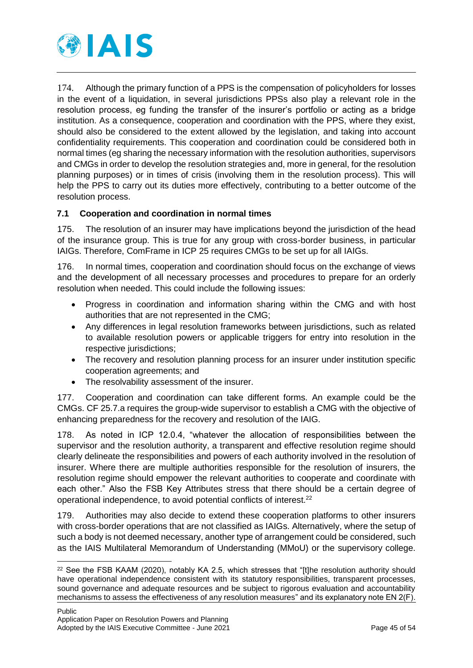

174. Although the primary function of a PPS is the compensation of policyholders for losses in the event of a liquidation, in several jurisdictions PPSs also play a relevant role in the resolution process, eg funding the transfer of the insurer's portfolio or acting as a bridge institution. As a consequence, cooperation and coordination with the PPS, where they exist, should also be considered to the extent allowed by the legislation, and taking into account confidentiality requirements. This cooperation and coordination could be considered both in normal times (eg sharing the necessary information with the resolution authorities, supervisors and CMGs in order to develop the resolution strategies and, more in general, for the resolution planning purposes) or in times of crisis (involving them in the resolution process). This will help the PPS to carry out its duties more effectively, contributing to a better outcome of the resolution process.

### <span id="page-44-0"></span>**7.1 Cooperation and coordination in normal times**

175. The resolution of an insurer may have implications beyond the jurisdiction of the head of the insurance group. This is true for any group with cross-border business, in particular IAIGs. Therefore, ComFrame in ICP 25 requires CMGs to be set up for all IAIGs.

176. In normal times, cooperation and coordination should focus on the exchange of views and the development of all necessary processes and procedures to prepare for an orderly resolution when needed. This could include the following issues:

- Progress in coordination and information sharing within the CMG and with host authorities that are not represented in the CMG;
- Any differences in legal resolution frameworks between jurisdictions, such as related to available resolution powers or applicable triggers for entry into resolution in the respective jurisdictions;
- The recovery and resolution planning process for an insurer under institution specific cooperation agreements; and
- The resolvability assessment of the insurer.

177. Cooperation and coordination can take different forms. An example could be the CMGs. CF 25.7.a requires the group-wide supervisor to establish a CMG with the objective of enhancing preparedness for the recovery and resolution of the IAIG.

178. As noted in ICP 12.0.4, "whatever the allocation of responsibilities between the supervisor and the resolution authority, a transparent and effective resolution regime should clearly delineate the responsibilities and powers of each authority involved in the resolution of insurer. Where there are multiple authorities responsible for the resolution of insurers, the resolution regime should empower the relevant authorities to cooperate and coordinate with each other." Also the FSB Key Attributes stress that there should be a certain degree of operational independence, to avoid potential conflicts of interest.<sup>22</sup>

179. Authorities may also decide to extend these cooperation platforms to other insurers with cross-border operations that are not classified as IAIGs. Alternatively, where the setup of such a body is not deemed necessary, another type of arrangement could be considered, such as the IAIS Multilateral Memorandum of Understanding (MMoU) or the supervisory college.

 $22$  See the FSB KAAM (2020), notably KA 2.5, which stresses that "[t]he resolution authority should have operational independence consistent with its statutory responsibilities, transparent processes, sound governance and adequate resources and be subject to rigorous evaluation and accountability mechanisms to assess the effectiveness of any resolution measures" and its explanatory note EN 2(F).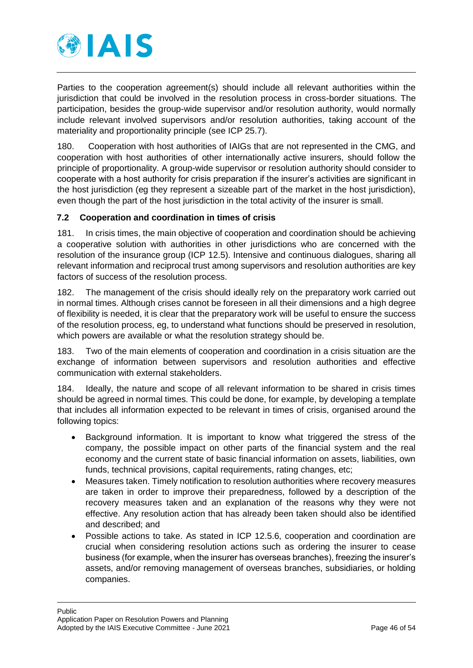

Parties to the cooperation agreement(s) should include all relevant authorities within the jurisdiction that could be involved in the resolution process in cross-border situations. The participation, besides the group-wide supervisor and/or resolution authority, would normally include relevant involved supervisors and/or resolution authorities, taking account of the materiality and proportionality principle (see ICP 25.7).

180. Cooperation with host authorities of IAIGs that are not represented in the CMG, and cooperation with host authorities of other internationally active insurers, should follow the principle of proportionality. A group-wide supervisor or resolution authority should consider to cooperate with a host authority for crisis preparation if the insurer's activities are significant in the host jurisdiction (eg they represent a sizeable part of the market in the host jurisdiction), even though the part of the host jurisdiction in the total activity of the insurer is small.

## <span id="page-45-0"></span>**7.2 Cooperation and coordination in times of crisis**

181. In crisis times, the main objective of cooperation and coordination should be achieving a cooperative solution with authorities in other jurisdictions who are concerned with the resolution of the insurance group (ICP 12.5). Intensive and continuous dialogues, sharing all relevant information and reciprocal trust among supervisors and resolution authorities are key factors of success of the resolution process.

182. The management of the crisis should ideally rely on the preparatory work carried out in normal times. Although crises cannot be foreseen in all their dimensions and a high degree of flexibility is needed, it is clear that the preparatory work will be useful to ensure the success of the resolution process, eg, to understand what functions should be preserved in resolution, which powers are available or what the resolution strategy should be.

183. Two of the main elements of cooperation and coordination in a crisis situation are the exchange of information between supervisors and resolution authorities and effective communication with external stakeholders.

184. Ideally, the nature and scope of all relevant information to be shared in crisis times should be agreed in normal times. This could be done, for example, by developing a template that includes all information expected to be relevant in times of crisis, organised around the following topics:

- Background information. It is important to know what triggered the stress of the company, the possible impact on other parts of the financial system and the real economy and the current state of basic financial information on assets, liabilities, own funds, technical provisions, capital requirements, rating changes, etc;
- Measures taken. Timely notification to resolution authorities where recovery measures are taken in order to improve their preparedness, followed by a description of the recovery measures taken and an explanation of the reasons why they were not effective. Any resolution action that has already been taken should also be identified and described; and
- Possible actions to take. As stated in ICP 12.5.6, cooperation and coordination are crucial when considering resolution actions such as ordering the insurer to cease business (for example, when the insurer has overseas branches), freezing the insurer's assets, and/or removing management of overseas branches, subsidiaries, or holding companies.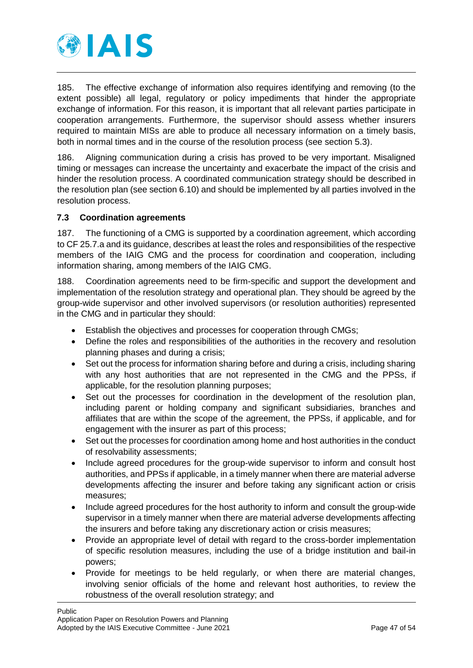

185. The effective exchange of information also requires identifying and removing (to the extent possible) all legal, regulatory or policy impediments that hinder the appropriate exchange of information. For this reason, it is important that all relevant parties participate in cooperation arrangements. Furthermore, the supervisor should assess whether insurers required to maintain MISs are able to produce all necessary information on a timely basis, both in normal times and in the course of the resolution process (see section 5.3).

186. Aligning communication during a crisis has proved to be very important. Misaligned timing or messages can increase the uncertainty and exacerbate the impact of the crisis and hinder the resolution process. A coordinated communication strategy should be described in the resolution plan (see section 6.10) and should be implemented by all parties involved in the resolution process.

### <span id="page-46-0"></span>**7.3 Coordination agreements**

187. The functioning of a CMG is supported by a coordination agreement, which according to CF 25.7.a and its guidance, describes at least the roles and responsibilities of the respective members of the IAIG CMG and the process for coordination and cooperation, including information sharing, among members of the IAIG CMG.

188. Coordination agreements need to be firm-specific and support the development and implementation of the resolution strategy and operational plan. They should be agreed by the group-wide supervisor and other involved supervisors (or resolution authorities) represented in the CMG and in particular they should:

- Establish the objectives and processes for cooperation through CMGs;
- Define the roles and responsibilities of the authorities in the recovery and resolution planning phases and during a crisis;
- Set out the process for information sharing before and during a crisis, including sharing with any host authorities that are not represented in the CMG and the PPSs, if applicable, for the resolution planning purposes;
- Set out the processes for coordination in the development of the resolution plan, including parent or holding company and significant subsidiaries, branches and affiliates that are within the scope of the agreement, the PPSs, if applicable, and for engagement with the insurer as part of this process;
- Set out the processes for coordination among home and host authorities in the conduct of resolvability assessments;
- Include agreed procedures for the group-wide supervisor to inform and consult host authorities, and PPSs if applicable, in a timely manner when there are material adverse developments affecting the insurer and before taking any significant action or crisis measures;
- Include agreed procedures for the host authority to inform and consult the group-wide supervisor in a timely manner when there are material adverse developments affecting the insurers and before taking any discretionary action or crisis measures;
- Provide an appropriate level of detail with regard to the cross-border implementation of specific resolution measures, including the use of a bridge institution and bail-in powers;
- Provide for meetings to be held regularly, or when there are material changes, involving senior officials of the home and relevant host authorities, to review the robustness of the overall resolution strategy; and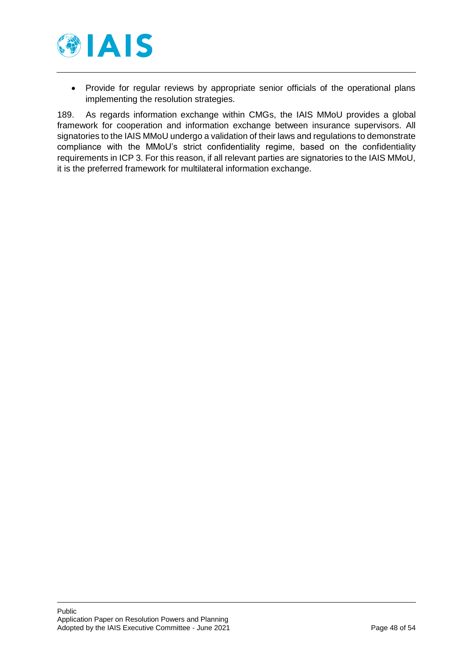

 Provide for regular reviews by appropriate senior officials of the operational plans implementing the resolution strategies.

189. As regards information exchange within CMGs, the IAIS MMoU provides a global framework for cooperation and information exchange between insurance supervisors. All signatories to the IAIS MMoU undergo a validation of their laws and regulations to demonstrate compliance with the MMoU's strict confidentiality regime, based on the confidentiality requirements in ICP 3. For this reason, if all relevant parties are signatories to the IAIS MMoU, it is the preferred framework for multilateral information exchange.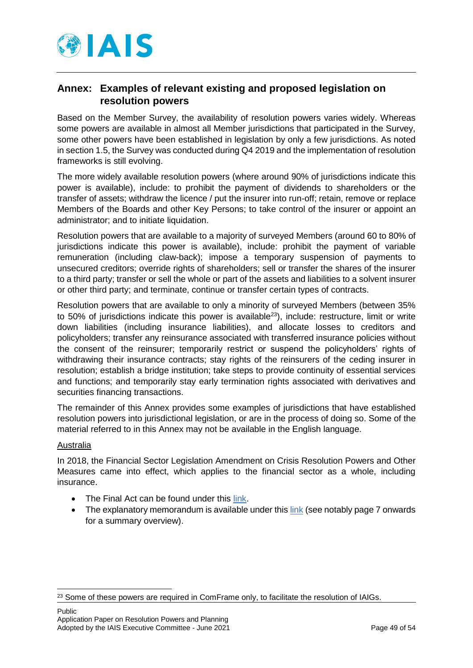

# <span id="page-48-0"></span>**Annex: Examples of relevant existing and proposed legislation on resolution powers**

Based on the Member Survey, the availability of resolution powers varies widely. Whereas some powers are available in almost all Member jurisdictions that participated in the Survey, some other powers have been established in legislation by only a few jurisdictions. As noted in section 1.5, the Survey was conducted during Q4 2019 and the implementation of resolution frameworks is still evolving.

The more widely available resolution powers (where around 90% of jurisdictions indicate this power is available), include: to prohibit the payment of dividends to shareholders or the transfer of assets; withdraw the licence / put the insurer into run-off; retain, remove or replace Members of the Boards and other Key Persons; to take control of the insurer or appoint an administrator; and to initiate liquidation.

Resolution powers that are available to a majority of surveyed Members (around 60 to 80% of jurisdictions indicate this power is available), include: prohibit the payment of variable remuneration (including claw-back); impose a temporary suspension of payments to unsecured creditors; override rights of shareholders; sell or transfer the shares of the insurer to a third party; transfer or sell the whole or part of the assets and liabilities to a solvent insurer or other third party; and terminate, continue or transfer certain types of contracts.

Resolution powers that are available to only a minority of surveyed Members (between 35% to 50% of jurisdictions indicate this power is available<sup>23</sup>), include: restructure, limit or write down liabilities (including insurance liabilities), and allocate losses to creditors and policyholders; transfer any reinsurance associated with transferred insurance policies without the consent of the reinsurer; temporarily restrict or suspend the policyholders' rights of withdrawing their insurance contracts; stay rights of the reinsurers of the ceding insurer in resolution; establish a bridge institution; take steps to provide continuity of essential services and functions; and temporarily stay early termination rights associated with derivatives and securities financing transactions.

The remainder of this Annex provides some examples of jurisdictions that have established resolution powers into jurisdictional legislation, or are in the process of doing so. Some of the material referred to in this Annex may not be available in the English language.

### Australia

-

In 2018, the Financial Sector Legislation Amendment on Crisis Resolution Powers and Other Measures came into effect, which applies to the financial sector as a whole, including insurance.

- The Final Act can be found under this [link.](https://www.legislation.gov.au/Details/C2018A00010)
- The explanatory memorandum is available under this [link](https://parlinfo.aph.gov.au/parlInfo/download/legislation/ems/r5989_ems_d5c61274-9551-412b-9ecb-8a423f880f1b/upload_pdf/649526.pdf;fileType=application%2Fpdf) (see notably page 7 onwards for a summary overview).

<sup>&</sup>lt;sup>23</sup> Some of these powers are required in ComFrame only, to facilitate the resolution of IAIGs.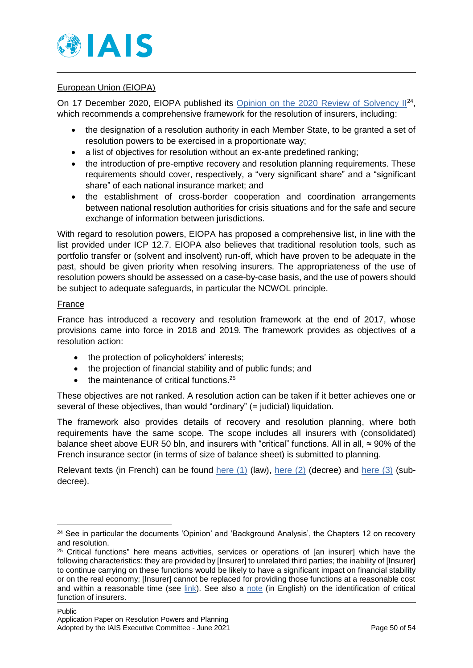

### European Union (EIOPA)

On 17 December 2020, EIOPA published its [Opinion on the 2020 Review of Solvency II](https://www.eiopa.europa.eu/content/opinion-2020-review-of-solvency-ii_en)<sup>24</sup>, which recommends a comprehensive framework for the resolution of insurers, including:

- the designation of a resolution authority in each Member State, to be granted a set of resolution powers to be exercised in a proportionate way;
- a list of objectives for resolution without an ex-ante predefined ranking;
- the introduction of pre-emptive recovery and resolution planning requirements. These requirements should cover, respectively, a "very significant share" and a "significant share" of each national insurance market; and
- the establishment of cross-border cooperation and coordination arrangements between national resolution authorities for crisis situations and for the safe and secure exchange of information between jurisdictions.

With regard to resolution powers, EIOPA has proposed a comprehensive list, in line with the list provided under ICP 12.7. EIOPA also believes that traditional resolution tools, such as portfolio transfer or (solvent and insolvent) run-off, which have proven to be adequate in the past, should be given priority when resolving insurers. The appropriateness of the use of resolution powers should be assessed on a case-by-case basis, and the use of powers should be subject to adequate safeguards, in particular the NCWOL principle.

### France

-

France has introduced a recovery and resolution framework at the end of 2017, whose provisions came into force in 2018 and 2019. The framework provides as objectives of a resolution action:

- the protection of policyholders' interests;
- the projection of financial stability and of public funds; and
- the maintenance of critical functions.<sup>25</sup>

These objectives are not ranked. A resolution action can be taken if it better achieves one or several of these objectives, than would "ordinary" (= judicial) liquidation.

The framework also provides details of recovery and resolution planning, where both requirements have the same scope. The scope includes all insurers with (consolidated) balance sheet above EUR 50 bln, and insurers with "critical" functions. All in all,  $\approx$  90% of the French insurance sector (in terms of size of balance sheet) is submitted to planning.

Relevant texts (in French) can be found here  $(1)$  (law), here  $(2)$  (decree) and here  $(3)$  (subdecree).

<sup>&</sup>lt;sup>24</sup> See in particular the documents 'Opinion' and 'Background Analysis', the Chapters 12 on recovery and resolution.

<sup>&</sup>lt;sup>25</sup> Critical functions" here means activities, services or operations of [an insurer] which have the following characteristics: they are provided by [Insurer] to unrelated third parties; the inability of [Insurer] to continue carrying on these functions would be likely to have a significant impact on financial stability or on the real economy; [Insurer] cannot be replaced for providing those functions at a reasonable cost and within a reasonable time (see [link\)](https://www.legifrance.gouv.fr/codes/article_lc/LEGIARTI000036102124/). See also a [note](https://acpr.banque-france.fr/sites/default/files/medias/documents/20210226_critical_functions_identification.pdf) (in English) on the identification of critical function of insurers.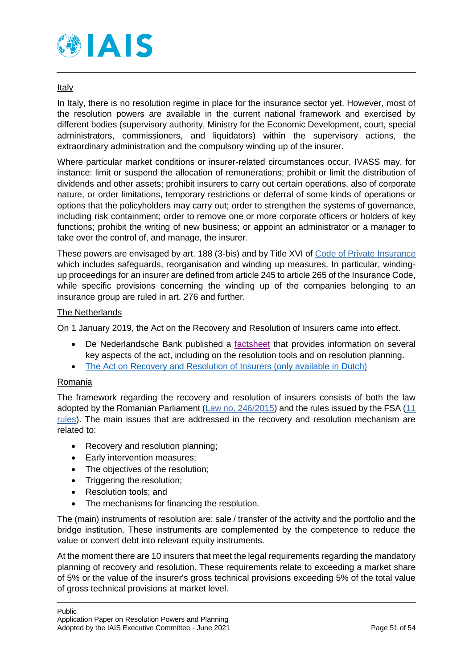

### Italy

In Italy, there is no resolution regime in place for the insurance sector yet. However, most of the resolution powers are available in the current national framework and exercised by different bodies (supervisory authority, Ministry for the Economic Development, court, special administrators, commissioners, and liquidators) within the supervisory actions, the extraordinary administration and the compulsory winding up of the insurer.

Where particular market conditions or insurer-related circumstances occur, IVASS may, for instance: limit or suspend the allocation of remunerations; prohibit or limit the distribution of dividends and other assets; prohibit insurers to carry out certain operations, also of corporate nature, or order limitations, temporary restrictions or deferral of some kinds of operations or options that the policyholders may carry out; order to strengthen the systems of governance, including risk containment; order to remove one or more corporate officers or holders of key functions; prohibit the writing of new business; or appoint an administrator or a manager to take over the control of, and manage, the insurer.

These powers are envisaged by art. 188 (3-bis) and by Title XVI of [Code of Private Insurance](https://www.ivass.it/normativa/nazionale/primaria/CAP_EN.pdf?language_id=3) which includes safeguards, reorganisation and winding up measures. In particular, windingup proceedings for an insurer are defined from article 245 to article 265 of the Insurance Code, while specific provisions concerning the winding up of the companies belonging to an insurance group are ruled in art. 276 and further.

### The Netherlands

On 1 January 2019, the Act on the Recovery and Resolution of Insurers came into effect.

- De Nederlandsche Bank published a [factsheet](https://www.dnb.nl/en/sector-information/resolution-of-insurers/resolution-of-insurers/) that provides information on several key aspects of the act, including on the resolution tools and on resolution planning.
- [The Act on Recovery and Resolution of Insurers \(only available in Dutch\)](https://www.eerstekamer.nl/behandeling/20181221/publicatie_wet_2/document3/f=/vkug4mdk3syn.pdf)

### Romania

The framework regarding the recovery and resolution of insurers consists of both the law adopted by the Romanian Parliament [\(Law no. 246/2015\)](https://asfromania.ro/en/legislation/sectorial-legislation/insurance-reinsurance-market/primary-legislation-csa/4740-law-no-246-2015) and the rules issued by the FSA [\(11](https://asfromania.ro/en/legislation/sectorial-legislation/insurance-reinsurance-market/secondary-legislation-csa/rules-csa)  [rules\)](https://asfromania.ro/en/legislation/sectorial-legislation/insurance-reinsurance-market/secondary-legislation-csa/rules-csa). The main issues that are addressed in the recovery and resolution mechanism are related to:

- Recovery and resolution planning;
- Early intervention measures:
- The objectives of the resolution;
- Triggering the resolution;
- Resolution tools: and
- The mechanisms for financing the resolution.

The (main) instruments of resolution are: sale / transfer of the activity and the portfolio and the bridge institution. These instruments are complemented by the competence to reduce the value or convert debt into relevant equity instruments.

At the moment there are 10 insurers that meet the legal requirements regarding the mandatory planning of recovery and resolution. These requirements relate to exceeding a market share of 5% or the value of the insurer's gross technical provisions exceeding 5% of the total value of gross technical provisions at market level.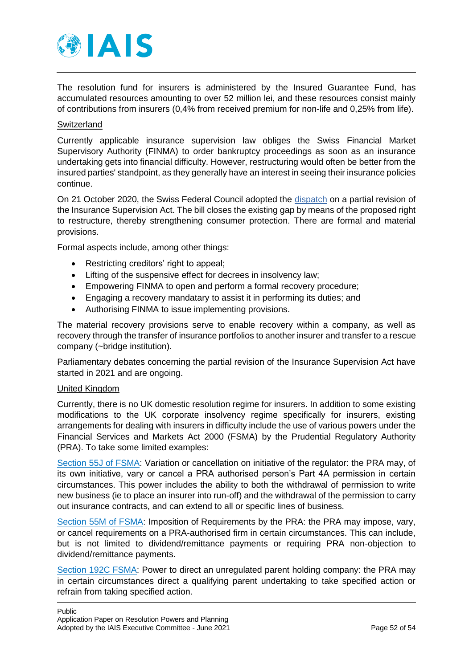

The resolution fund for insurers is administered by the Insured Guarantee Fund, has accumulated resources amounting to over 52 million lei, and these resources consist mainly of contributions from insurers (0,4% from received premium for non-life and 0,25% from life).

### **Switzerland**

Currently applicable insurance supervision law obliges the Swiss Financial Market Supervisory Authority (FINMA) to order bankruptcy proceedings as soon as an insurance undertaking gets into financial difficulty. However, restructuring would often be better from the insured parties' standpoint, as they generally have an interest in seeing their insurance policies continue.

On 21 October 2020, the Swiss Federal Council adopted the [dispatch](https://www.admin.ch/gov/en/start/documentation/media-releases/media-releases-federal-council.msg-id-80800.html) on a partial revision of the Insurance Supervision Act. The bill closes the existing gap by means of the proposed right to restructure, thereby strengthening consumer protection. There are formal and material provisions.

Formal aspects include, among other things:

- Restricting creditors' right to appeal;
- Lifting of the suspensive effect for decrees in insolvency law;
- Empowering FINMA to open and perform a formal recovery procedure;
- Engaging a recovery mandatary to assist it in performing its duties; and
- Authorising FINMA to issue implementing provisions.

The material recovery provisions serve to enable recovery within a company, as well as recovery through the transfer of insurance portfolios to another insurer and transfer to a rescue company (~bridge institution).

Parliamentary debates concerning the partial revision of the Insurance Supervision Act have started in 2021 and are ongoing.

#### United Kingdom

Currently, there is no UK domestic resolution regime for insurers. In addition to some existing modifications to the UK corporate insolvency regime specifically for insurers, existing arrangements for dealing with insurers in difficulty include the use of various powers under the Financial Services and Markets Act 2000 (FSMA) by the Prudential Regulatory Authority (PRA). To take some limited examples:

[Section 55J of FSMA:](https://www.legislation.gov.uk/ukpga/2000/8/part/4A) Variation or cancellation on initiative of the regulator: the PRA may, of its own initiative, vary or cancel a PRA authorised person's Part 4A permission in certain circumstances. This power includes the ability to both the withdrawal of permission to write new business (ie to place an insurer into run-off) and the withdrawal of the permission to carry out insurance contracts, and can extend to all or specific lines of business.

[Section 55M of FSMA:](https://www.legislation.gov.uk/ukpga/2000/8/section/55M) Imposition of Requirements by the PRA: the PRA may impose, vary, or cancel requirements on a PRA-authorised firm in certain circumstances. This can include, but is not limited to dividend/remittance payments or requiring PRA non-objection to dividend/remittance payments.

[Section 192C FSMA:](https://www.legislation.gov.uk/ukpga/2012/21/section/27/enacted?view=plain) Power to direct an unregulated parent holding company: the PRA may in certain circumstances direct a qualifying parent undertaking to take specified action or refrain from taking specified action.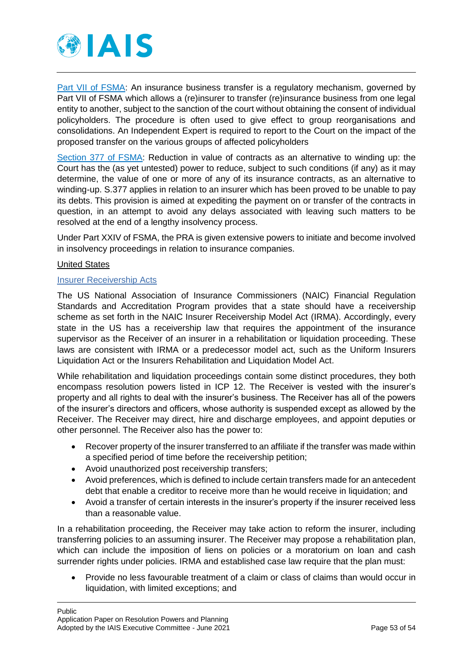

[Part VII of FSMA:](https://www.legislation.gov.uk/ukpga/2000/8/part/VII) An insurance business transfer is a regulatory mechanism, governed by Part VII of FSMA which allows a (re)insurer to transfer (re)insurance business from one legal entity to another, subject to the sanction of the court without obtaining the consent of individual policyholders. The procedure is often used to give effect to group reorganisations and consolidations. An Independent Expert is required to report to the Court on the impact of the proposed transfer on the various groups of affected policyholders

[Section 377 of FSMA:](https://www.legislation.gov.uk/ukpga/2000/8/section/377) Reduction in value of contracts as an alternative to winding up: the Court has the (as yet untested) power to reduce, subject to such conditions (if any) as it may determine, the value of one or more of any of its insurance contracts, as an alternative to winding-up. S.377 applies in relation to an insurer which has been proved to be unable to pay its debts. This provision is aimed at expediting the payment on or transfer of the contracts in question, in an attempt to avoid any delays associated with leaving such matters to be resolved at the end of a lengthy insolvency process.

Under Part XXIV of FSMA, the PRA is given extensive powers to initiate and become involved in insolvency proceedings in relation to insurance companies.

### United States

#### [Insurer Receivership Acts](https://content.naic.org/sites/default/files/inline-files/MDL-555.pdf)

The US National Association of Insurance Commissioners (NAIC) Financial Regulation Standards and Accreditation Program provides that a state should have a receivership scheme as set forth in the NAIC Insurer Receivership Model Act (IRMA). Accordingly, every state in the US has a receivership law that requires the appointment of the insurance supervisor as the Receiver of an insurer in a rehabilitation or liquidation proceeding. These laws are consistent with IRMA or a predecessor model act, such as the Uniform Insurers Liquidation Act or the Insurers Rehabilitation and Liquidation Model Act.

While rehabilitation and liquidation proceedings contain some distinct procedures, they both encompass resolution powers listed in ICP 12. The Receiver is vested with the insurer's property and all rights to deal with the insurer's business. The Receiver has all of the powers of the insurer's directors and officers, whose authority is suspended except as allowed by the Receiver. The Receiver may direct, hire and discharge employees, and appoint deputies or other personnel. The Receiver also has the power to:

- Recover property of the insurer transferred to an affiliate if the transfer was made within a specified period of time before the receivership petition;
- Avoid unauthorized post receivership transfers;
- Avoid preferences, which is defined to include certain transfers made for an antecedent debt that enable a creditor to receive more than he would receive in liquidation; and
- Avoid a transfer of certain interests in the insurer's property if the insurer received less than a reasonable value.

In a rehabilitation proceeding, the Receiver may take action to reform the insurer, including transferring policies to an assuming insurer. The Receiver may propose a rehabilitation plan, which can include the imposition of liens on policies or a moratorium on loan and cash surrender rights under policies. IRMA and established case law require that the plan must:

 Provide no less favourable treatment of a claim or class of claims than would occur in liquidation, with limited exceptions; and